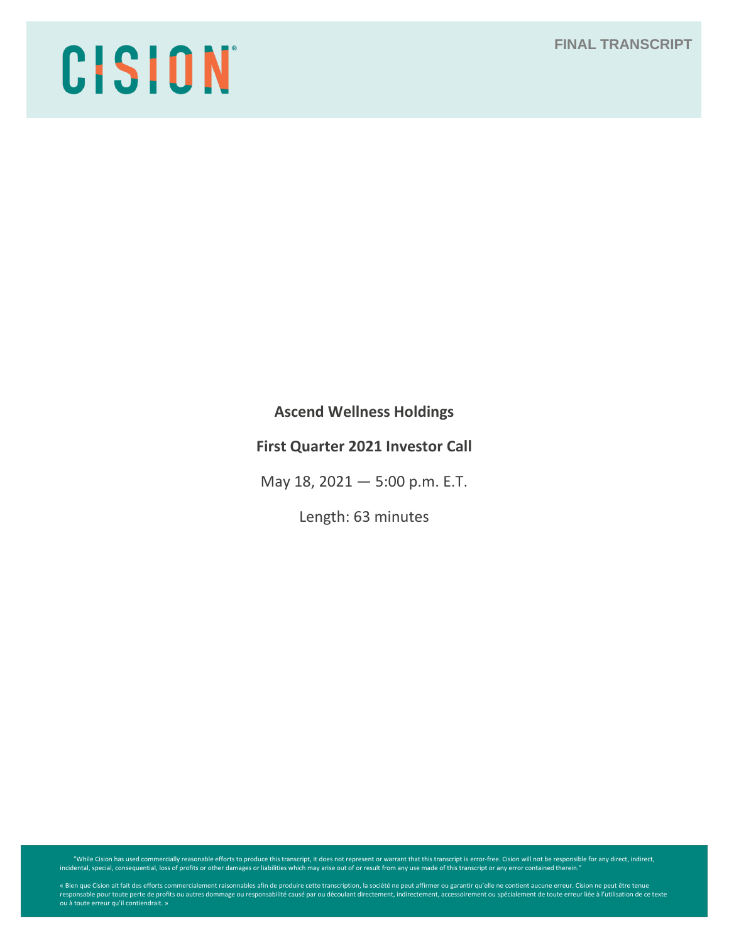# **FINAL TRANSCRIPT**

# CISION

**Ascend Wellness Holdings** 

# **First Quarter 2021 Investor Call**

May 18, 2021 — 5:00 p.m. E.T.

Length: 63 minutes

"While Cision has used commercially reasonable efforts to produce this transcript, it does not represent or warrant that this transcript is error-free. Cision will not be responsible for any direct, indirect, indirect, ind

« Bien que Cision ait fait des efforts commercialement raisonnables afin de produire cette transcription, la société ne peut affirmer ou garantir qu'elle ne contient aucune erreur. Cision ne peut être tenue<br>responsable pou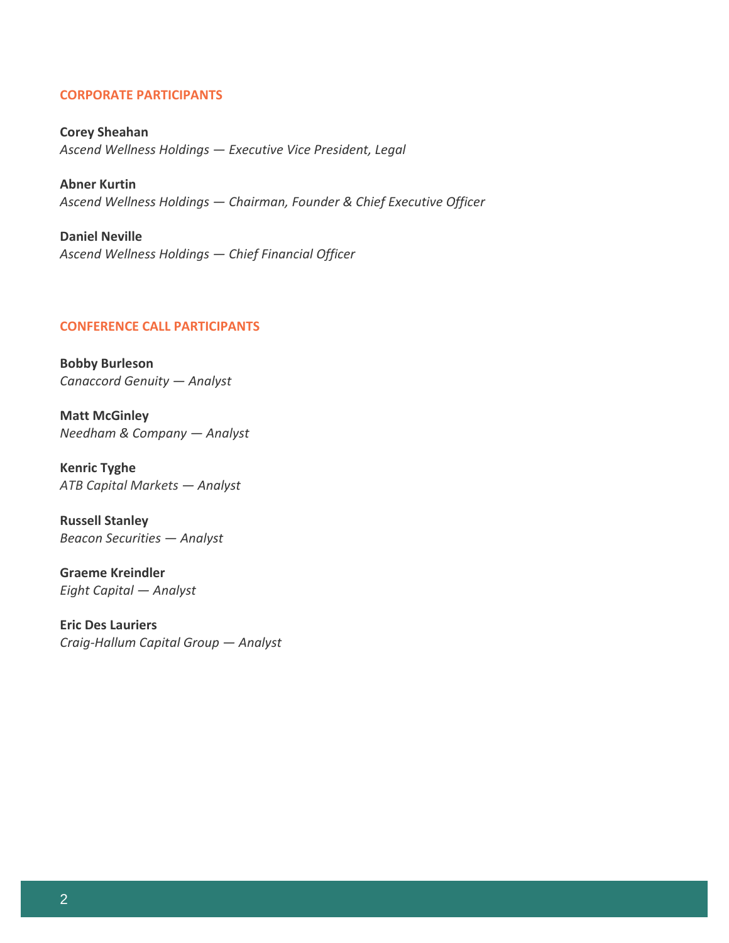# **CORPORATE PARTICIPANTS**

**Corey Sheahan** *Ascend Wellness Holdings — Executive Vice President, Legal*

**Abner Kurtin** *Ascend Wellness Holdings — Chairman, Founder & Chief Executive Officer* 

**Daniel Neville** *Ascend Wellness Holdings — Chief Financial Officer* 

# **CONFERENCE CALL PARTICIPANTS**

**Bobby Burleson** *Canaccord Genuity — Analyst*

**Matt McGinley** *Needham & Company — Analyst*

**Kenric Tyghe** *ATB Capital Markets — Analyst*

**Russell Stanley** *Beacon Securities — Analyst*

**Graeme Kreindler** *Eight Capital — Analyst*

**Eric Des Lauriers** *Craig-Hallum Capital Group — Analyst*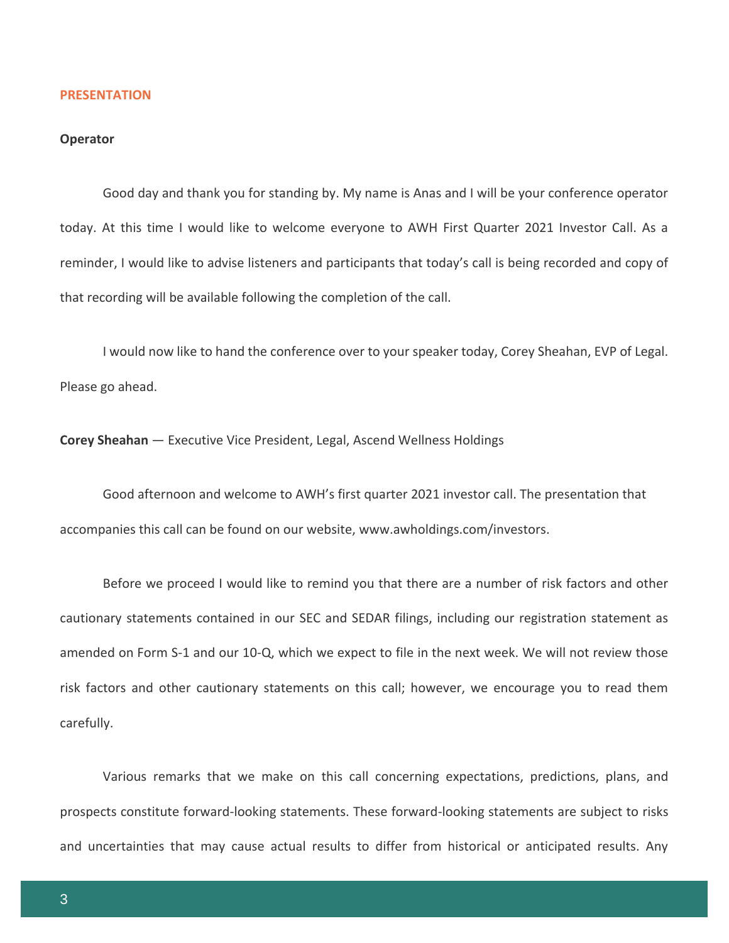#### **PRESENTATION**

# **Operator**

Good day and thank you for standing by. My name is Anas and I will be your conference operator today. At this time I would like to welcome everyone to AWH First Quarter 2021 Investor Call. As a reminder, I would like to advise listeners and participants that today's call is being recorded and copy of that recording will be available following the completion of the call.

I would now like to hand the conference over to your speaker today, Corey Sheahan, EVP of Legal. Please go ahead.

**Corey Sheahan** — Executive Vice President, Legal, Ascend Wellness Holdings

Good afternoon and welcome to AWH's first quarter 2021 investor call. The presentation that accompanies this call can be found on our website, www.awholdings.com/investors.

Before we proceed I would like to remind you that there are a number of risk factors and other cautionary statements contained in our SEC and SEDAR filings, including our registration statement as amended on Form S-1 and our 10-Q, which we expect to file in the next week. We will not review those risk factors and other cautionary statements on this call; however, we encourage you to read them carefully.

Various remarks that we make on this call concerning expectations, predictions, plans, and prospects constitute forward-looking statements. These forward-looking statements are subject to risks and uncertainties that may cause actual results to differ from historical or anticipated results. Any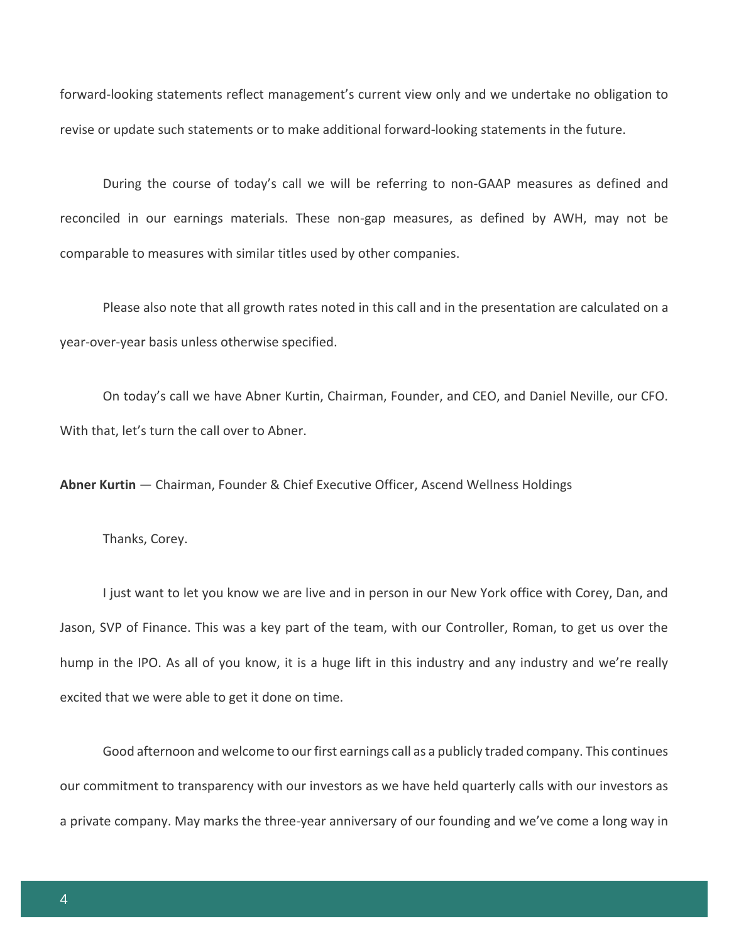forward-looking statements reflect management's current view only and we undertake no obligation to revise or update such statements or to make additional forward-looking statements in the future.

During the course of today's call we will be referring to non-GAAP measures as defined and reconciled in our earnings materials. These non-gap measures, as defined by AWH, may not be comparable to measures with similar titles used by other companies.

Please also note that all growth rates noted in this call and in the presentation are calculated on a year-over-year basis unless otherwise specified.

On today's call we have Abner Kurtin, Chairman, Founder, and CEO, and Daniel Neville, our CFO. With that, let's turn the call over to Abner.

**Abner Kurtin** — Chairman, Founder & Chief Executive Officer, Ascend Wellness Holdings

Thanks, Corey.

I just want to let you know we are live and in person in our New York office with Corey, Dan, and Jason, SVP of Finance. This was a key part of the team, with our Controller, Roman, to get us over the hump in the IPO. As all of you know, it is a huge lift in this industry and any industry and we're really excited that we were able to get it done on time.

Good afternoon and welcome to our first earnings call as a publicly traded company. This continues our commitment to transparency with our investors as we have held quarterly calls with our investors as a private company. May marks the three-year anniversary of our founding and we've come a long way in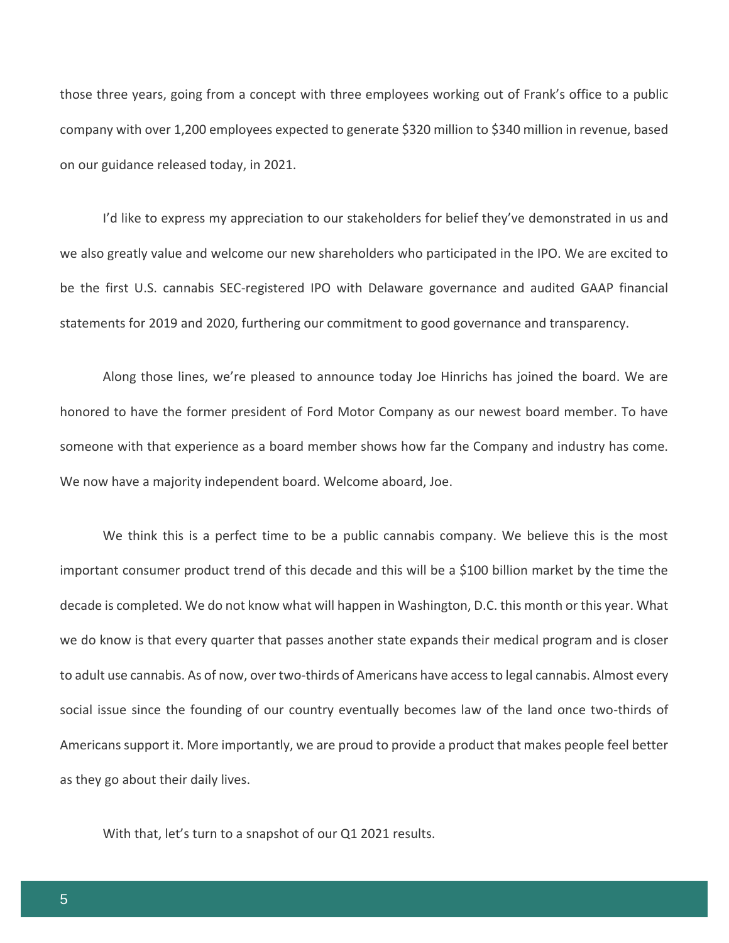those three years, going from a concept with three employees working out of Frank's office to a public company with over 1,200 employees expected to generate \$320 million to \$340 million in revenue, based on our guidance released today, in 2021.

I'd like to express my appreciation to our stakeholders for belief they've demonstrated in us and we also greatly value and welcome our new shareholders who participated in the IPO. We are excited to be the first U.S. cannabis SEC-registered IPO with Delaware governance and audited GAAP financial statements for 2019 and 2020, furthering our commitment to good governance and transparency.

Along those lines, we're pleased to announce today Joe Hinrichs has joined the board. We are honored to have the former president of Ford Motor Company as our newest board member. To have someone with that experience as a board member shows how far the Company and industry has come. We now have a majority independent board. Welcome aboard, Joe.

We think this is a perfect time to be a public cannabis company. We believe this is the most important consumer product trend of this decade and this will be a \$100 billion market by the time the decade is completed. We do not know what will happen in Washington, D.C. this month or this year. What we do know is that every quarter that passes another state expands their medical program and is closer to adult use cannabis. As of now, over two-thirds of Americans have access to legal cannabis. Almost every social issue since the founding of our country eventually becomes law of the land once two-thirds of Americans support it. More importantly, we are proud to provide a product that makes people feel better as they go about their daily lives.

With that, let's turn to a snapshot of our Q1 2021 results.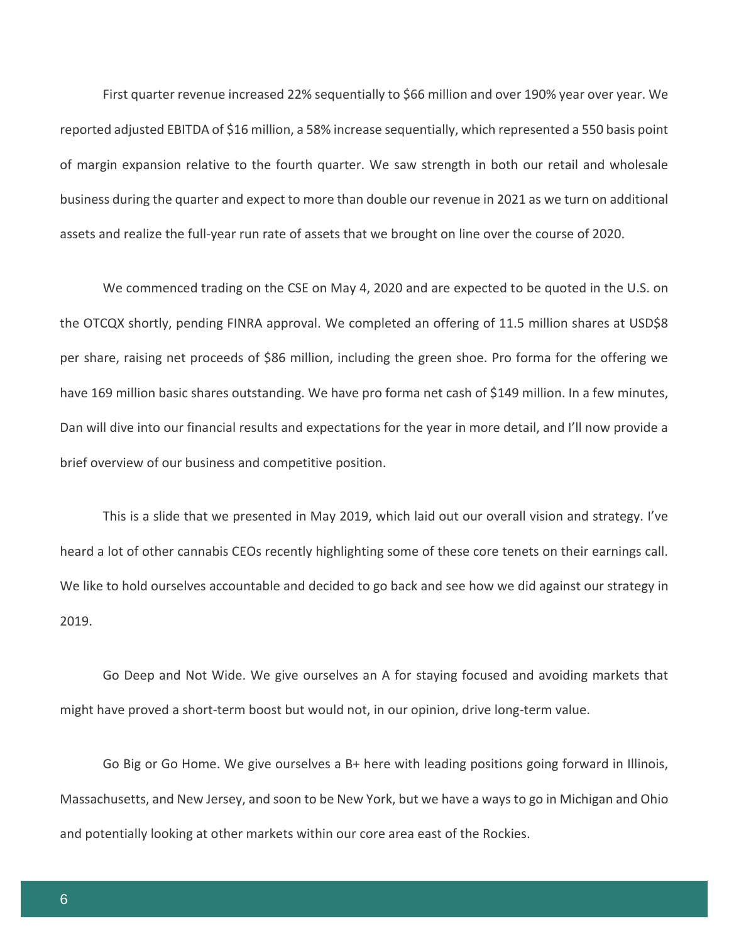First quarter revenue increased 22% sequentially to \$66 million and over 190% year over year. We reported adjusted EBITDA of \$16 million, a 58% increase sequentially, which represented a 550 basis point of margin expansion relative to the fourth quarter. We saw strength in both our retail and wholesale business during the quarter and expect to more than double our revenue in 2021 as we turn on additional assets and realize the full-year run rate of assets that we brought on line over the course of 2020.

We commenced trading on the CSE on May 4, 2020 and are expected to be quoted in the U.S. on the OTCQX shortly, pending FINRA approval. We completed an offering of 11.5 million shares at USD\$8 per share, raising net proceeds of \$86 million, including the green shoe. Pro forma for the offering we have 169 million basic shares outstanding. We have pro forma net cash of \$149 million. In a few minutes, Dan will dive into our financial results and expectations for the year in more detail, and I'll now provide a brief overview of our business and competitive position.

This is a slide that we presented in May 2019, which laid out our overall vision and strategy. I've heard a lot of other cannabis CEOs recently highlighting some of these core tenets on their earnings call. We like to hold ourselves accountable and decided to go back and see how we did against our strategy in 2019.

Go Deep and Not Wide. We give ourselves an A for staying focused and avoiding markets that might have proved a short-term boost but would not, in our opinion, drive long-term value.

Go Big or Go Home. We give ourselves a B+ here with leading positions going forward in Illinois, Massachusetts, and New Jersey, and soon to be New York, but we have a ways to go in Michigan and Ohio and potentially looking at other markets within our core area east of the Rockies.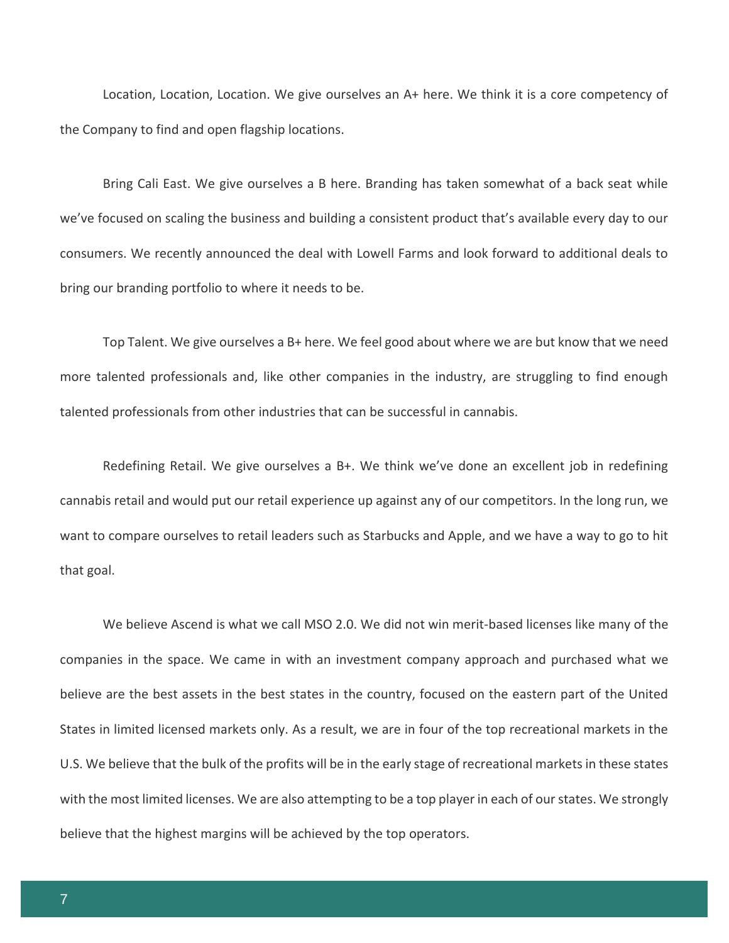Location, Location, Location. We give ourselves an A+ here. We think it is a core competency of the Company to find and open flagship locations.

Bring Cali East. We give ourselves a B here. Branding has taken somewhat of a back seat while we've focused on scaling the business and building a consistent product that's available every day to our consumers. We recently announced the deal with Lowell Farms and look forward to additional deals to bring our branding portfolio to where it needs to be.

Top Talent. We give ourselves a B+ here. We feel good about where we are but know that we need more talented professionals and, like other companies in the industry, are struggling to find enough talented professionals from other industries that can be successful in cannabis.

Redefining Retail. We give ourselves a B+. We think we've done an excellent job in redefining cannabis retail and would put our retail experience up against any of our competitors. In the long run, we want to compare ourselves to retail leaders such as Starbucks and Apple, and we have a way to go to hit that goal.

We believe Ascend is what we call MSO 2.0. We did not win merit-based licenses like many of the companies in the space. We came in with an investment company approach and purchased what we believe are the best assets in the best states in the country, focused on the eastern part of the United States in limited licensed markets only. As a result, we are in four of the top recreational markets in the U.S. We believe that the bulk of the profits will be in the early stage of recreational markets in these states with the most limited licenses. We are also attempting to be a top player in each of our states. We strongly believe that the highest margins will be achieved by the top operators.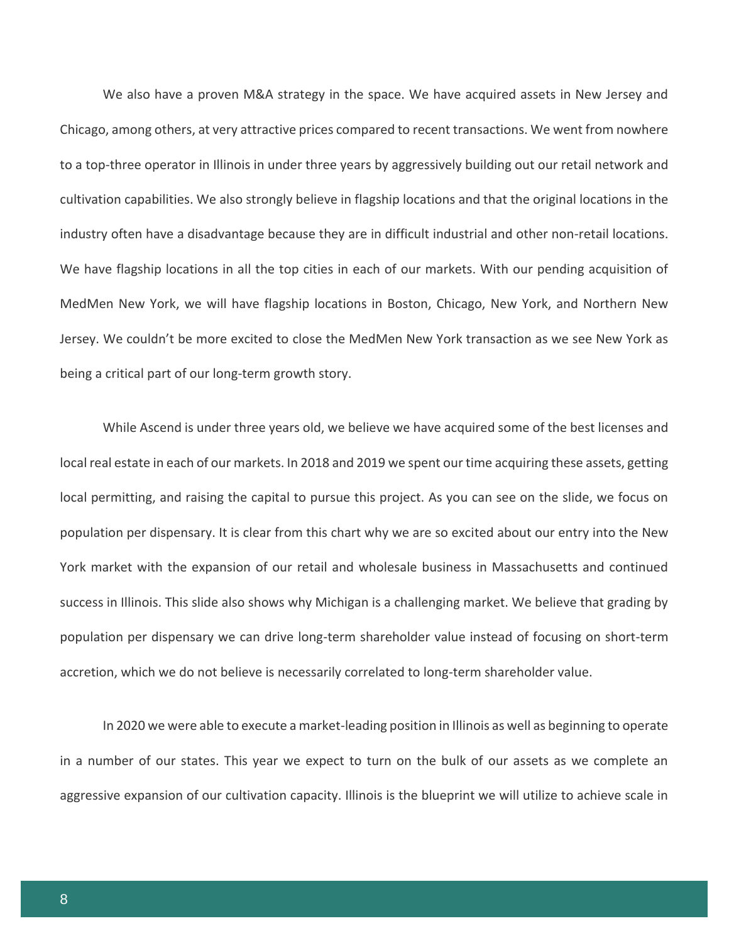We also have a proven M&A strategy in the space. We have acquired assets in New Jersey and Chicago, among others, at very attractive prices compared to recent transactions. We went from nowhere to a top-three operator in Illinois in under three years by aggressively building out our retail network and cultivation capabilities. We also strongly believe in flagship locations and that the original locations in the industry often have a disadvantage because they are in difficult industrial and other non-retail locations. We have flagship locations in all the top cities in each of our markets. With our pending acquisition of MedMen New York, we will have flagship locations in Boston, Chicago, New York, and Northern New Jersey. We couldn't be more excited to close the MedMen New York transaction as we see New York as being a critical part of our long-term growth story.

While Ascend is under three years old, we believe we have acquired some of the best licenses and local real estate in each of our markets. In 2018 and 2019 we spent our time acquiring these assets, getting local permitting, and raising the capital to pursue this project. As you can see on the slide, we focus on population per dispensary. It is clear from this chart why we are so excited about our entry into the New York market with the expansion of our retail and wholesale business in Massachusetts and continued success in Illinois. This slide also shows why Michigan is a challenging market. We believe that grading by population per dispensary we can drive long-term shareholder value instead of focusing on short-term accretion, which we do not believe is necessarily correlated to long-term shareholder value.

In 2020 we were able to execute a market-leading position in Illinois as well as beginning to operate in a number of our states. This year we expect to turn on the bulk of our assets as we complete an aggressive expansion of our cultivation capacity. Illinois is the blueprint we will utilize to achieve scale in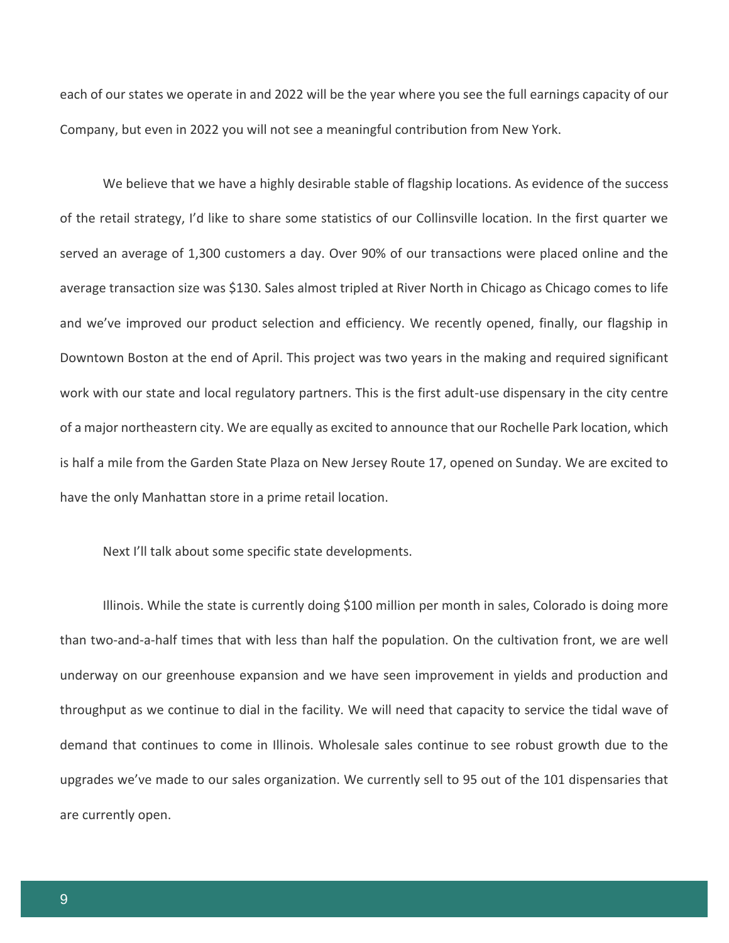each of our states we operate in and 2022 will be the year where you see the full earnings capacity of our Company, but even in 2022 you will not see a meaningful contribution from New York.

We believe that we have a highly desirable stable of flagship locations. As evidence of the success of the retail strategy, I'd like to share some statistics of our Collinsville location. In the first quarter we served an average of 1,300 customers a day. Over 90% of our transactions were placed online and the average transaction size was \$130. Sales almost tripled at River North in Chicago as Chicago comes to life and we've improved our product selection and efficiency. We recently opened, finally, our flagship in Downtown Boston at the end of April. This project was two years in the making and required significant work with our state and local regulatory partners. This is the first adult-use dispensary in the city centre of a major northeastern city. We are equally as excited to announce that our Rochelle Park location, which is half a mile from the Garden State Plaza on New Jersey Route 17, opened on Sunday. We are excited to have the only Manhattan store in a prime retail location.

Next I'll talk about some specific state developments.

Illinois. While the state is currently doing \$100 million per month in sales, Colorado is doing more than two-and-a-half times that with less than half the population. On the cultivation front, we are well underway on our greenhouse expansion and we have seen improvement in yields and production and throughput as we continue to dial in the facility. We will need that capacity to service the tidal wave of demand that continues to come in Illinois. Wholesale sales continue to see robust growth due to the upgrades we've made to our sales organization. We currently sell to 95 out of the 101 dispensaries that are currently open.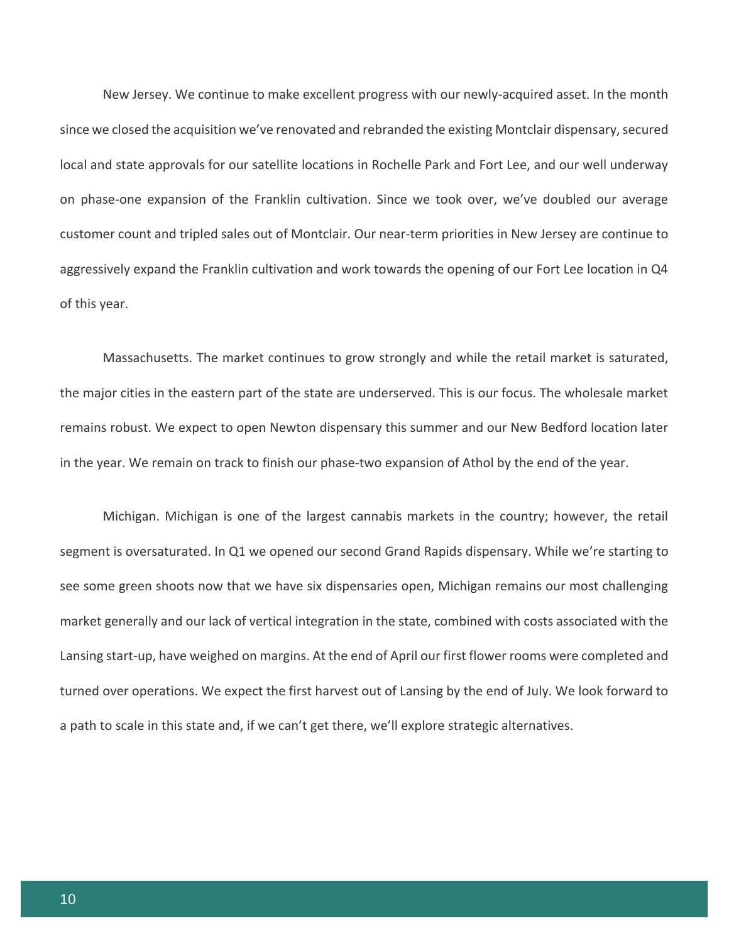New Jersey. We continue to make excellent progress with our newly-acquired asset. In the month since we closed the acquisition we've renovated and rebranded the existing Montclair dispensary, secured local and state approvals for our satellite locations in Rochelle Park and Fort Lee, and our well underway on phase-one expansion of the Franklin cultivation. Since we took over, we've doubled our average customer count and tripled sales out of Montclair. Our near-term priorities in New Jersey are continue to aggressively expand the Franklin cultivation and work towards the opening of our Fort Lee location in Q4 of this year.

Massachusetts. The market continues to grow strongly and while the retail market is saturated, the major cities in the eastern part of the state are underserved. This is our focus. The wholesale market remains robust. We expect to open Newton dispensary this summer and our New Bedford location later in the year. We remain on track to finish our phase-two expansion of Athol by the end of the year.

Michigan. Michigan is one of the largest cannabis markets in the country; however, the retail segment is oversaturated. In Q1 we opened our second Grand Rapids dispensary. While we're starting to see some green shoots now that we have six dispensaries open, Michigan remains our most challenging market generally and our lack of vertical integration in the state, combined with costs associated with the Lansing start-up, have weighed on margins. At the end of April our first flower rooms were completed and turned over operations. We expect the first harvest out of Lansing by the end of July. We look forward to a path to scale in this state and, if we can't get there, we'll explore strategic alternatives.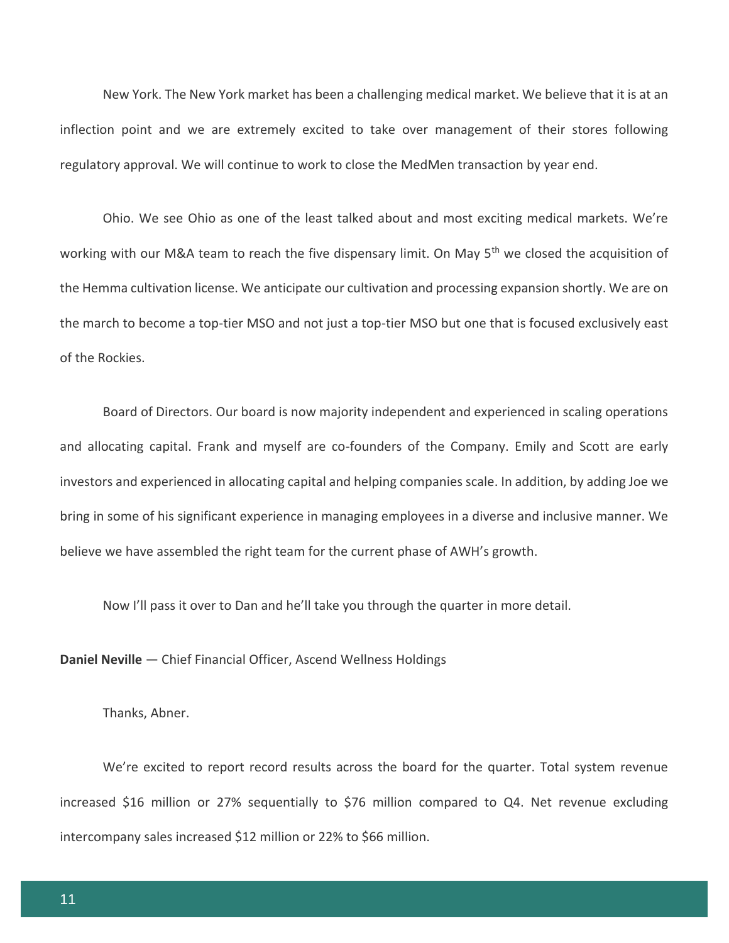New York. The New York market has been a challenging medical market. We believe that it is at an inflection point and we are extremely excited to take over management of their stores following regulatory approval. We will continue to work to close the MedMen transaction by year end.

Ohio. We see Ohio as one of the least talked about and most exciting medical markets. We're working with our M&A team to reach the five dispensary limit. On May 5<sup>th</sup> we closed the acquisition of the Hemma cultivation license. We anticipate our cultivation and processing expansion shortly. We are on the march to become a top-tier MSO and not just a top-tier MSO but one that is focused exclusively east of the Rockies.

Board of Directors. Our board is now majority independent and experienced in scaling operations and allocating capital. Frank and myself are co-founders of the Company. Emily and Scott are early investors and experienced in allocating capital and helping companies scale. In addition, by adding Joe we bring in some of his significant experience in managing employees in a diverse and inclusive manner. We believe we have assembled the right team for the current phase of AWH's growth.

We're excited to report record results across the board for the quarter. Total system revenue

increased \$16 million or 27% sequentially to \$76 million compared to Q4. Net revenue excluding

Now I'll pass it over to Dan and he'll take you through the quarter in more detail.

**Daniel Neville** — Chief Financial Officer, Ascend Wellness Holdings

intercompany sales increased \$12 million or 22% to \$66 million.

Thanks, Abner.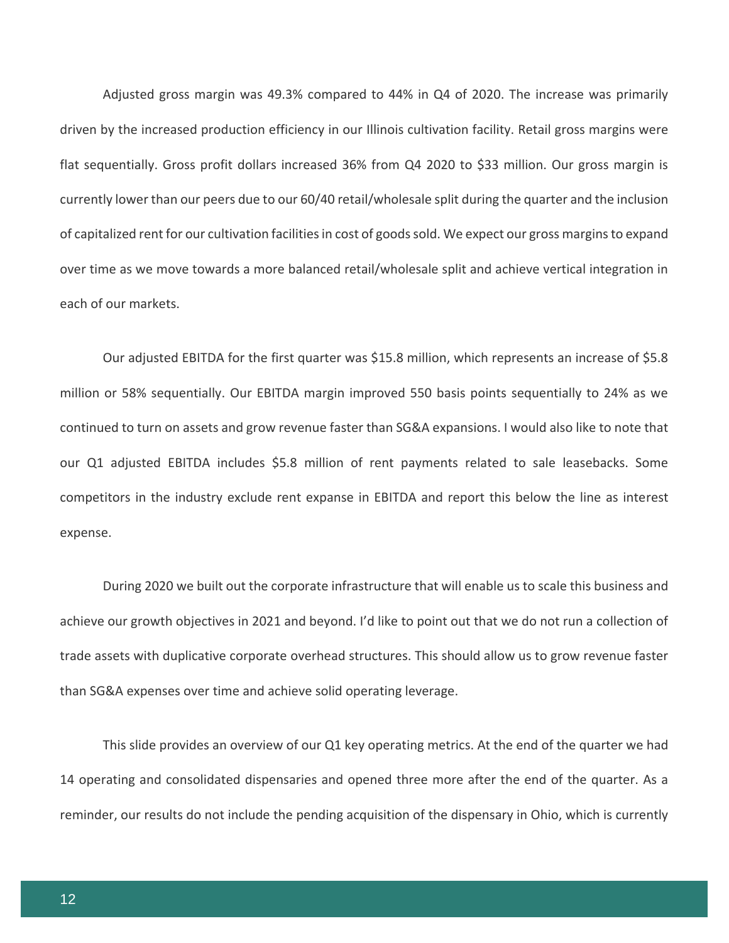Adjusted gross margin was 49.3% compared to 44% in Q4 of 2020. The increase was primarily driven by the increased production efficiency in our Illinois cultivation facility. Retail gross margins were flat sequentially. Gross profit dollars increased 36% from Q4 2020 to \$33 million. Our gross margin is currently lower than our peers due to our 60/40 retail/wholesale split during the quarter and the inclusion of capitalized rent for our cultivation facilities in cost of goods sold. We expect our gross margins to expand over time as we move towards a more balanced retail/wholesale split and achieve vertical integration in each of our markets.

Our adjusted EBITDA for the first quarter was \$15.8 million, which represents an increase of \$5.8 million or 58% sequentially. Our EBITDA margin improved 550 basis points sequentially to 24% as we continued to turn on assets and grow revenue faster than SG&A expansions. I would also like to note that our Q1 adjusted EBITDA includes \$5.8 million of rent payments related to sale leasebacks. Some competitors in the industry exclude rent expanse in EBITDA and report this below the line as interest expense.

During 2020 we built out the corporate infrastructure that will enable us to scale this business and achieve our growth objectives in 2021 and beyond. I'd like to point out that we do not run a collection of trade assets with duplicative corporate overhead structures. This should allow us to grow revenue faster than SG&A expenses over time and achieve solid operating leverage.

This slide provides an overview of our Q1 key operating metrics. At the end of the quarter we had 14 operating and consolidated dispensaries and opened three more after the end of the quarter. As a reminder, our results do not include the pending acquisition of the dispensary in Ohio, which is currently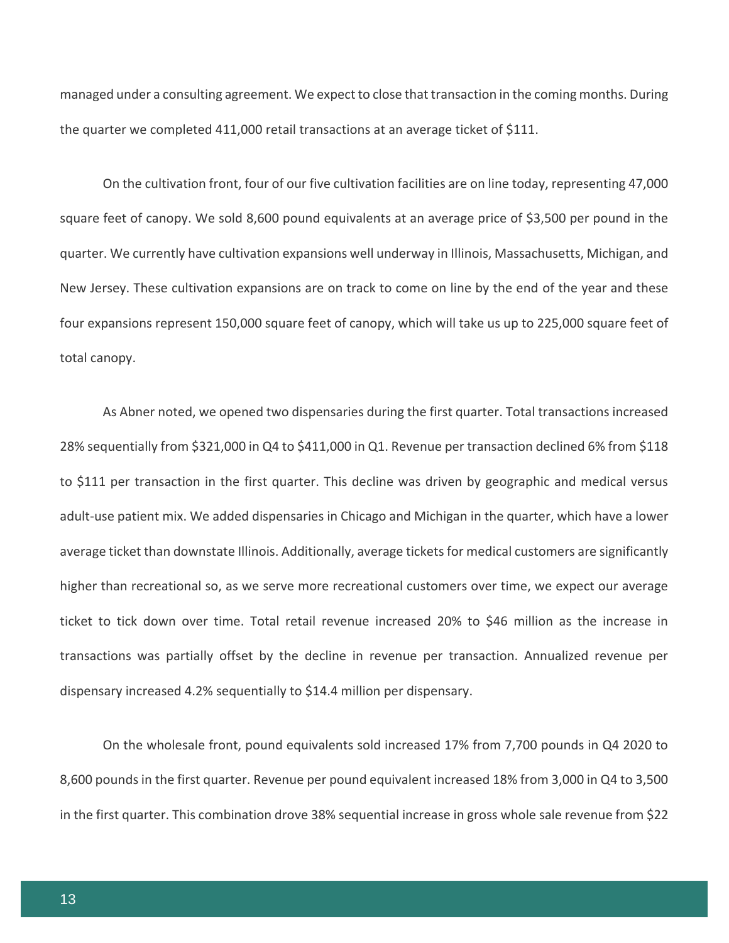managed under a consulting agreement. We expect to close that transaction in the coming months. During the quarter we completed 411,000 retail transactions at an average ticket of \$111.

On the cultivation front, four of our five cultivation facilities are on line today, representing 47,000 square feet of canopy. We sold 8,600 pound equivalents at an average price of \$3,500 per pound in the quarter. We currently have cultivation expansions well underway in Illinois, Massachusetts, Michigan, and New Jersey. These cultivation expansions are on track to come on line by the end of the year and these four expansions represent 150,000 square feet of canopy, which will take us up to 225,000 square feet of total canopy.

As Abner noted, we opened two dispensaries during the first quarter. Total transactions increased 28% sequentially from \$321,000 in Q4 to \$411,000 in Q1. Revenue per transaction declined 6% from \$118 to \$111 per transaction in the first quarter. This decline was driven by geographic and medical versus adult-use patient mix. We added dispensaries in Chicago and Michigan in the quarter, which have a lower average ticket than downstate Illinois. Additionally, average tickets for medical customers are significantly higher than recreational so, as we serve more recreational customers over time, we expect our average ticket to tick down over time. Total retail revenue increased 20% to \$46 million as the increase in transactions was partially offset by the decline in revenue per transaction. Annualized revenue per dispensary increased 4.2% sequentially to \$14.4 million per dispensary.

On the wholesale front, pound equivalents sold increased 17% from 7,700 pounds in Q4 2020 to 8,600 pounds in the first quarter. Revenue per pound equivalent increased 18% from 3,000 in Q4 to 3,500 in the first quarter. This combination drove 38% sequential increase in gross whole sale revenue from \$22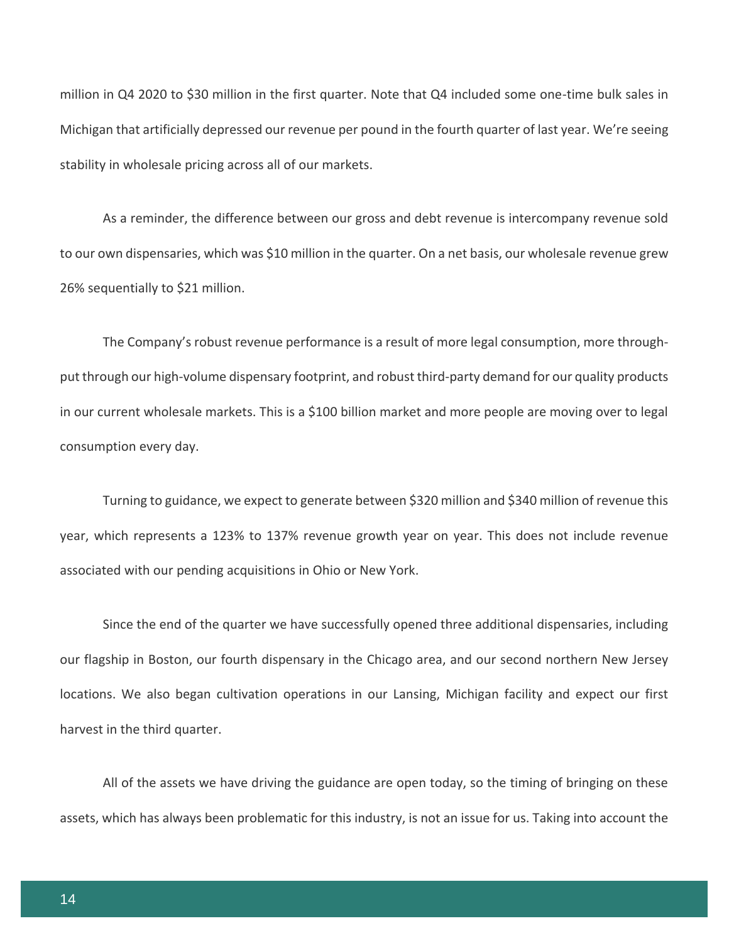million in Q4 2020 to \$30 million in the first quarter. Note that Q4 included some one-time bulk sales in Michigan that artificially depressed our revenue per pound in the fourth quarter of last year. We're seeing stability in wholesale pricing across all of our markets.

As a reminder, the difference between our gross and debt revenue is intercompany revenue sold to our own dispensaries, which was \$10 million in the quarter. On a net basis, our wholesale revenue grew 26% sequentially to \$21 million.

The Company's robust revenue performance is a result of more legal consumption, more throughput through our high-volume dispensary footprint, and robust third-party demand for our quality products in our current wholesale markets. This is a \$100 billion market and more people are moving over to legal consumption every day.

Turning to guidance, we expect to generate between \$320 million and \$340 million of revenue this year, which represents a 123% to 137% revenue growth year on year. This does not include revenue associated with our pending acquisitions in Ohio or New York.

Since the end of the quarter we have successfully opened three additional dispensaries, including our flagship in Boston, our fourth dispensary in the Chicago area, and our second northern New Jersey locations. We also began cultivation operations in our Lansing, Michigan facility and expect our first harvest in the third quarter.

All of the assets we have driving the guidance are open today, so the timing of bringing on these assets, which has always been problematic for this industry, is not an issue for us. Taking into account the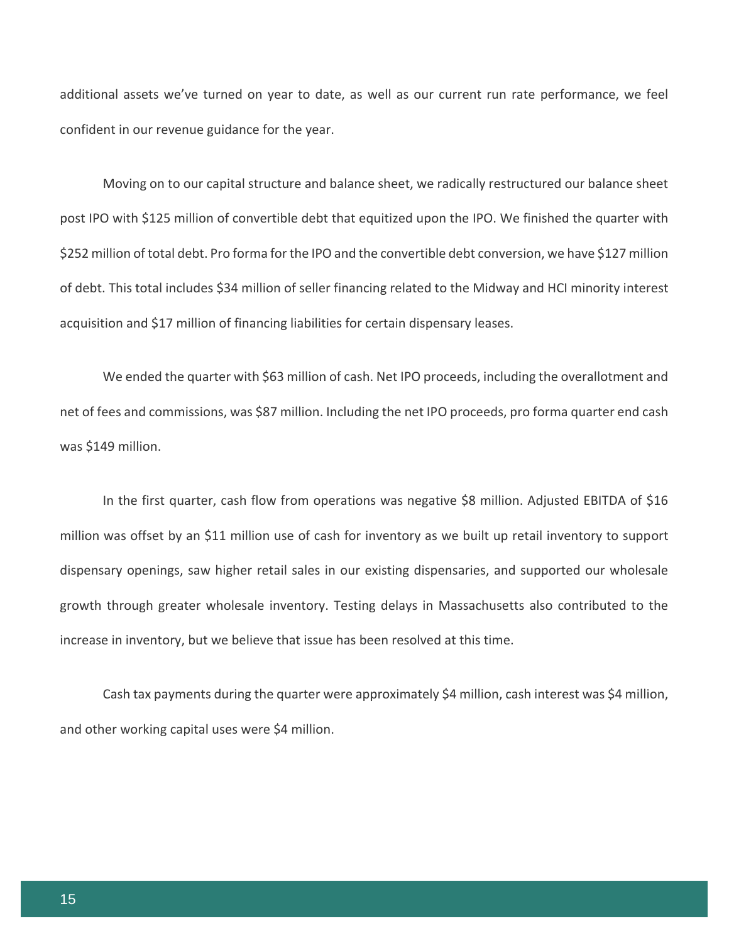additional assets we've turned on year to date, as well as our current run rate performance, we feel confident in our revenue guidance for the year.

Moving on to our capital structure and balance sheet, we radically restructured our balance sheet post IPO with \$125 million of convertible debt that equitized upon the IPO. We finished the quarter with \$252 million of total debt. Pro forma for the IPO and the convertible debt conversion, we have \$127 million of debt. This total includes \$34 million of seller financing related to the Midway and HCI minority interest acquisition and \$17 million of financing liabilities for certain dispensary leases.

We ended the quarter with \$63 million of cash. Net IPO proceeds, including the overallotment and net of fees and commissions, was \$87 million. Including the net IPO proceeds, pro forma quarter end cash was \$149 million.

In the first quarter, cash flow from operations was negative \$8 million. Adjusted EBITDA of \$16 million was offset by an \$11 million use of cash for inventory as we built up retail inventory to support dispensary openings, saw higher retail sales in our existing dispensaries, and supported our wholesale growth through greater wholesale inventory. Testing delays in Massachusetts also contributed to the increase in inventory, but we believe that issue has been resolved at this time.

Cash tax payments during the quarter were approximately \$4 million, cash interest was \$4 million, and other working capital uses were \$4 million.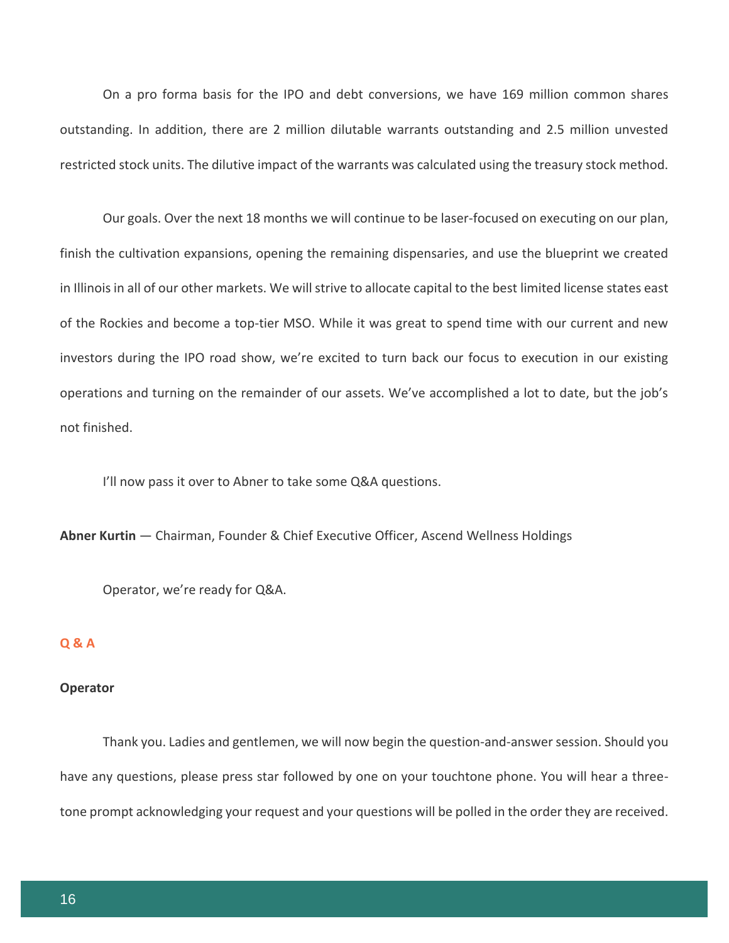On a pro forma basis for the IPO and debt conversions, we have 169 million common shares outstanding. In addition, there are 2 million dilutable warrants outstanding and 2.5 million unvested restricted stock units. The dilutive impact of the warrants was calculated using the treasury stock method.

Our goals. Over the next 18 months we will continue to be laser-focused on executing on our plan, finish the cultivation expansions, opening the remaining dispensaries, and use the blueprint we created in Illinois in all of our other markets. We will strive to allocate capital to the best limited license states east of the Rockies and become a top-tier MSO. While it was great to spend time with our current and new investors during the IPO road show, we're excited to turn back our focus to execution in our existing operations and turning on the remainder of our assets. We've accomplished a lot to date, but the job's not finished.

I'll now pass it over to Abner to take some Q&A questions.

**Abner Kurtin** — Chairman, Founder & Chief Executive Officer, Ascend Wellness Holdings

Operator, we're ready for Q&A.

# **Q & A**

# **Operator**

Thank you. Ladies and gentlemen, we will now begin the question-and-answer session. Should you have any questions, please press star followed by one on your touchtone phone. You will hear a threetone prompt acknowledging your request and your questions will be polled in the order they are received.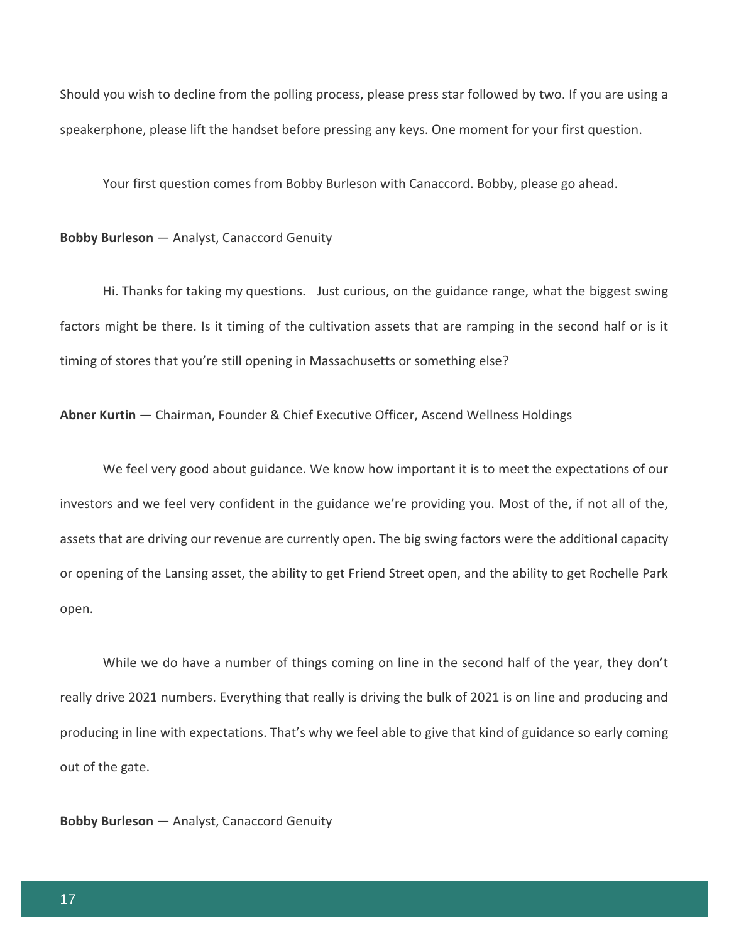Should you wish to decline from the polling process, please press star followed by two. If you are using a speakerphone, please lift the handset before pressing any keys. One moment for your first question.

Your first question comes from Bobby Burleson with Canaccord. Bobby, please go ahead.

#### **Bobby Burleson** — Analyst, Canaccord Genuity

Hi. Thanks for taking my questions. Just curious, on the guidance range, what the biggest swing factors might be there. Is it timing of the cultivation assets that are ramping in the second half or is it timing of stores that you're still opening in Massachusetts or something else?

**Abner Kurtin** — Chairman, Founder & Chief Executive Officer, Ascend Wellness Holdings

We feel very good about guidance. We know how important it is to meet the expectations of our investors and we feel very confident in the guidance we're providing you. Most of the, if not all of the, assets that are driving our revenue are currently open. The big swing factors were the additional capacity or opening of the Lansing asset, the ability to get Friend Street open, and the ability to get Rochelle Park open.

While we do have a number of things coming on line in the second half of the year, they don't really drive 2021 numbers. Everything that really is driving the bulk of 2021 is on line and producing and producing in line with expectations. That's why we feel able to give that kind of guidance so early coming out of the gate.

**Bobby Burleson** — Analyst, Canaccord Genuity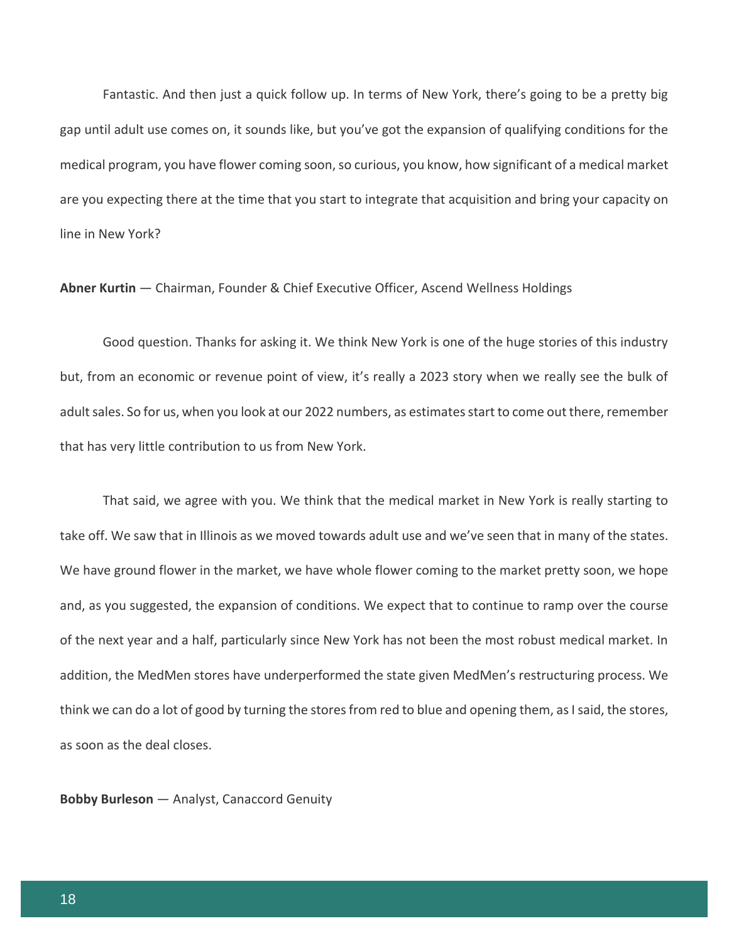Fantastic. And then just a quick follow up. In terms of New York, there's going to be a pretty big gap until adult use comes on, it sounds like, but you've got the expansion of qualifying conditions for the medical program, you have flower coming soon, so curious, you know, how significant of a medical market are you expecting there at the time that you start to integrate that acquisition and bring your capacity on line in New York?

**Abner Kurtin** — Chairman, Founder & Chief Executive Officer, Ascend Wellness Holdings

Good question. Thanks for asking it. We think New York is one of the huge stories of this industry but, from an economic or revenue point of view, it's really a 2023 story when we really see the bulk of adult sales. So for us, when you look at our 2022 numbers, as estimates start to come out there, remember that has very little contribution to us from New York.

That said, we agree with you. We think that the medical market in New York is really starting to take off. We saw that in Illinois as we moved towards adult use and we've seen that in many of the states. We have ground flower in the market, we have whole flower coming to the market pretty soon, we hope and, as you suggested, the expansion of conditions. We expect that to continue to ramp over the course of the next year and a half, particularly since New York has not been the most robust medical market. In addition, the MedMen stores have underperformed the state given MedMen's restructuring process. We think we can do a lot of good by turning the stores from red to blue and opening them, as I said, the stores, as soon as the deal closes.

**Bobby Burleson** — Analyst, Canaccord Genuity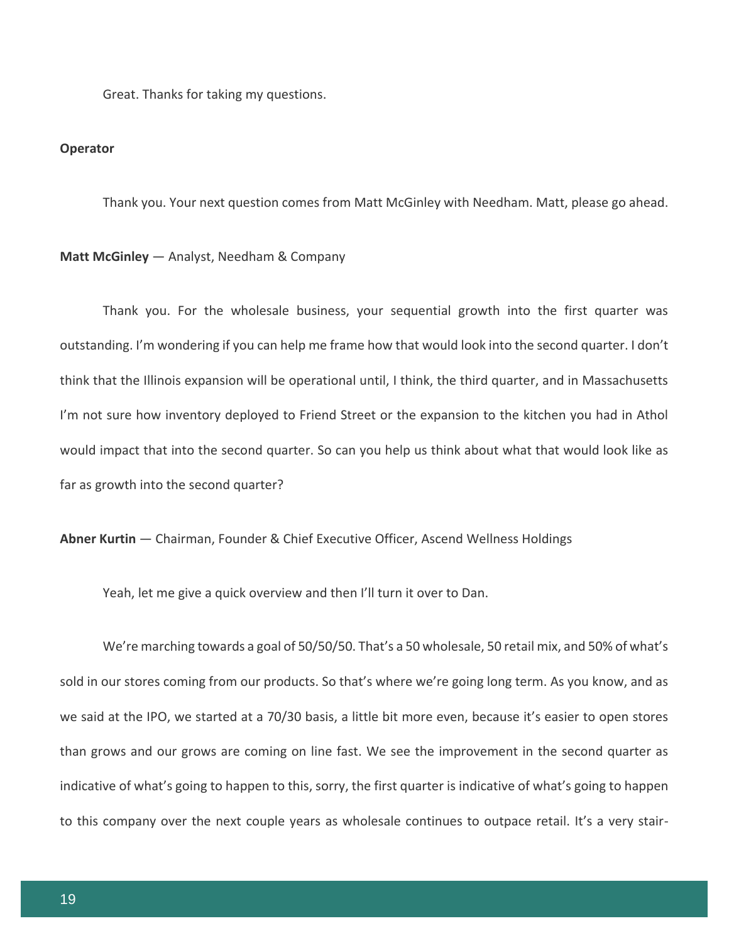Great. Thanks for taking my questions.

#### **Operator**

Thank you. Your next question comes from Matt McGinley with Needham. Matt, please go ahead.

## **Matt McGinley** — Analyst, Needham & Company

Thank you. For the wholesale business, your sequential growth into the first quarter was outstanding. I'm wondering if you can help me frame how that would look into the second quarter. I don't think that the Illinois expansion will be operational until, I think, the third quarter, and in Massachusetts I'm not sure how inventory deployed to Friend Street or the expansion to the kitchen you had in Athol would impact that into the second quarter. So can you help us think about what that would look like as far as growth into the second quarter?

**Abner Kurtin** — Chairman, Founder & Chief Executive Officer, Ascend Wellness Holdings

Yeah, let me give a quick overview and then I'll turn it over to Dan.

We're marching towards a goal of 50/50/50. That's a 50 wholesale, 50 retail mix, and 50% of what's sold in our stores coming from our products. So that's where we're going long term. As you know, and as we said at the IPO, we started at a 70/30 basis, a little bit more even, because it's easier to open stores than grows and our grows are coming on line fast. We see the improvement in the second quarter as indicative of what's going to happen to this, sorry, the first quarter is indicative of what's going to happen to this company over the next couple years as wholesale continues to outpace retail. It's a very stair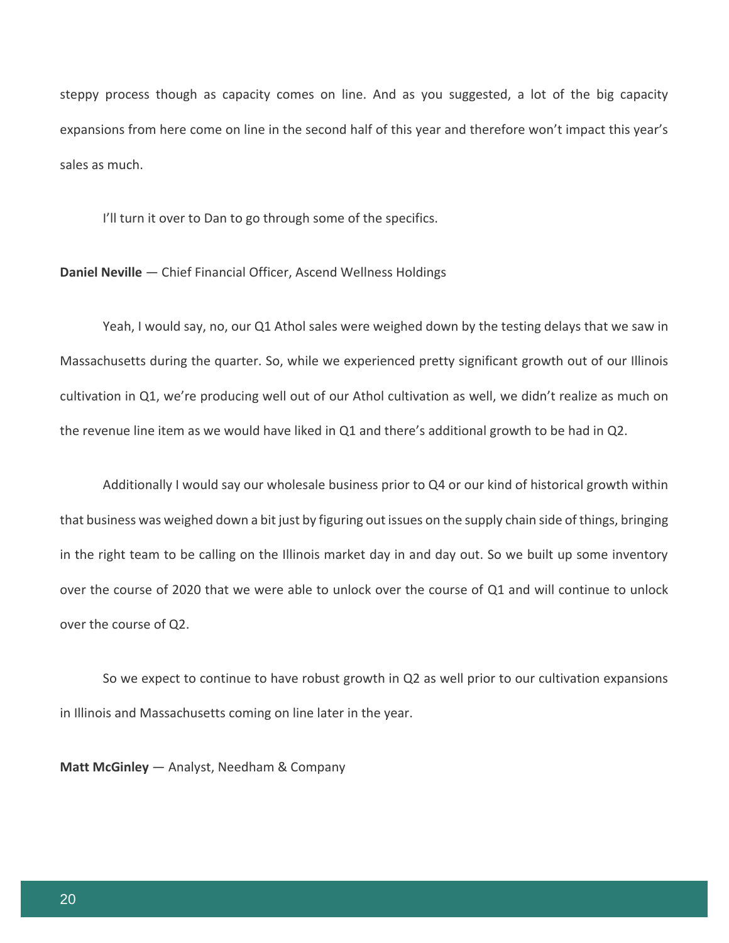steppy process though as capacity comes on line. And as you suggested, a lot of the big capacity expansions from here come on line in the second half of this year and therefore won't impact this year's sales as much.

I'll turn it over to Dan to go through some of the specifics.

**Daniel Neville** — Chief Financial Officer, Ascend Wellness Holdings

Yeah, I would say, no, our Q1 Athol sales were weighed down by the testing delays that we saw in Massachusetts during the quarter. So, while we experienced pretty significant growth out of our Illinois cultivation in Q1, we're producing well out of our Athol cultivation as well, we didn't realize as much on the revenue line item as we would have liked in Q1 and there's additional growth to be had in Q2.

Additionally I would say our wholesale business prior to Q4 or our kind of historical growth within that business was weighed down a bit just by figuring out issues on the supply chain side of things, bringing in the right team to be calling on the Illinois market day in and day out. So we built up some inventory over the course of 2020 that we were able to unlock over the course of Q1 and will continue to unlock over the course of Q2.

So we expect to continue to have robust growth in Q2 as well prior to our cultivation expansions in Illinois and Massachusetts coming on line later in the year.

**Matt McGinley** — Analyst, Needham & Company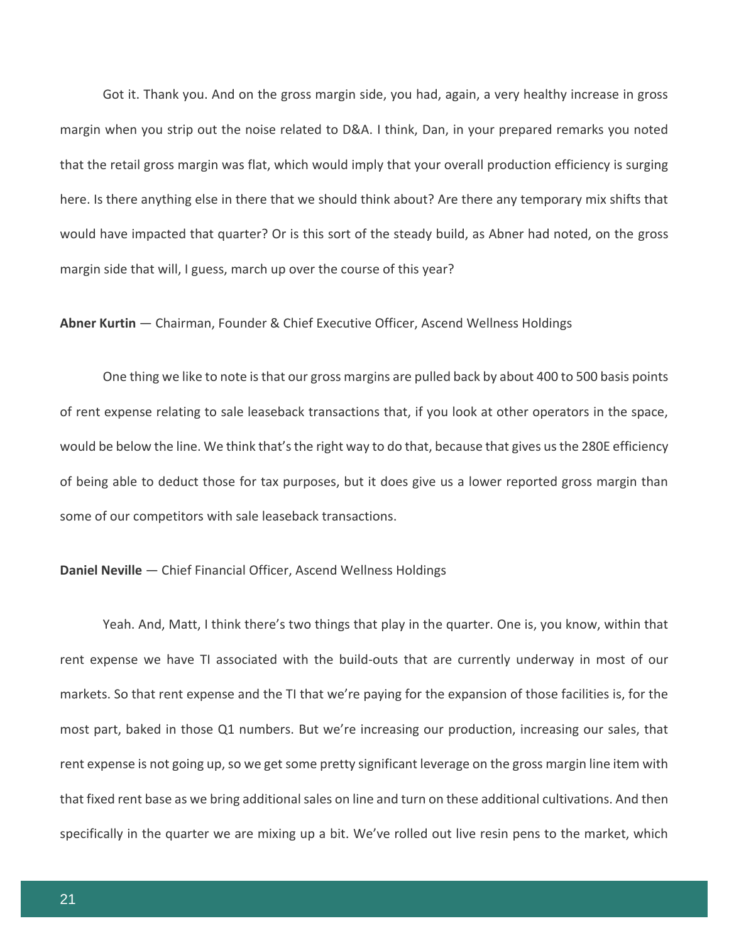Got it. Thank you. And on the gross margin side, you had, again, a very healthy increase in gross margin when you strip out the noise related to D&A. I think, Dan, in your prepared remarks you noted that the retail gross margin was flat, which would imply that your overall production efficiency is surging here. Is there anything else in there that we should think about? Are there any temporary mix shifts that would have impacted that quarter? Or is this sort of the steady build, as Abner had noted, on the gross margin side that will, I guess, march up over the course of this year?

## **Abner Kurtin** — Chairman, Founder & Chief Executive Officer, Ascend Wellness Holdings

One thing we like to note is that our gross margins are pulled back by about 400 to 500 basis points of rent expense relating to sale leaseback transactions that, if you look at other operators in the space, would be below the line. We think that's the right way to do that, because that gives us the 280E efficiency of being able to deduct those for tax purposes, but it does give us a lower reported gross margin than some of our competitors with sale leaseback transactions.

#### **Daniel Neville** — Chief Financial Officer, Ascend Wellness Holdings

Yeah. And, Matt, I think there's two things that play in the quarter. One is, you know, within that rent expense we have TI associated with the build-outs that are currently underway in most of our markets. So that rent expense and the TI that we're paying for the expansion of those facilities is, for the most part, baked in those Q1 numbers. But we're increasing our production, increasing our sales, that rent expense is not going up, so we get some pretty significant leverage on the gross margin line item with that fixed rent base as we bring additional sales on line and turn on these additional cultivations. And then specifically in the quarter we are mixing up a bit. We've rolled out live resin pens to the market, which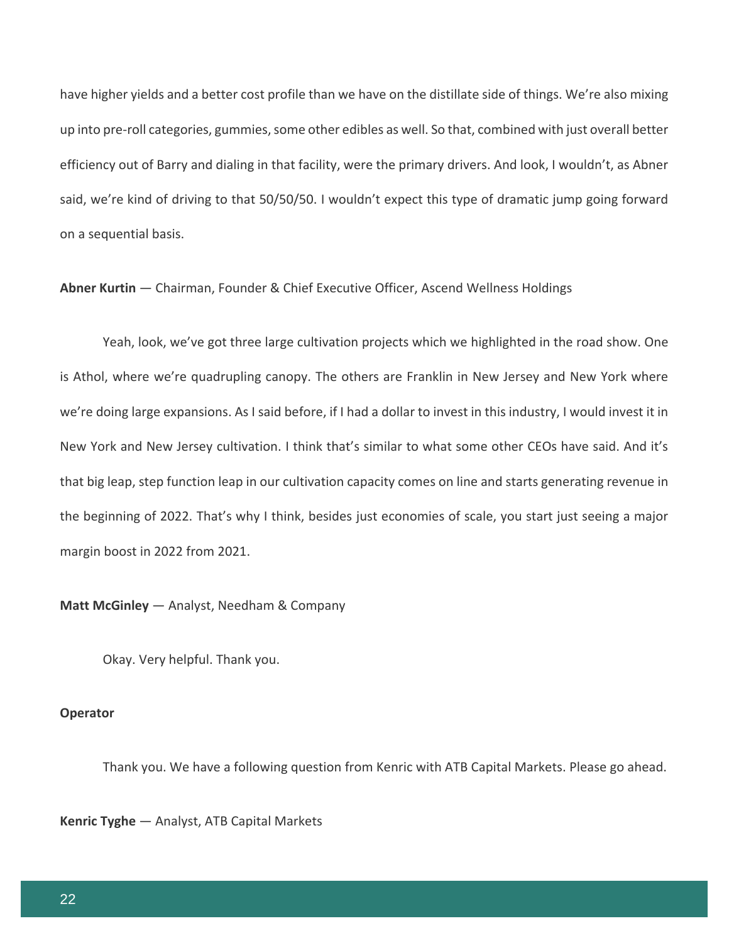have higher yields and a better cost profile than we have on the distillate side of things. We're also mixing up into pre-roll categories, gummies, some other edibles as well. So that, combined with just overall better efficiency out of Barry and dialing in that facility, were the primary drivers. And look, I wouldn't, as Abner said, we're kind of driving to that 50/50/50. I wouldn't expect this type of dramatic jump going forward on a sequential basis.

**Abner Kurtin** — Chairman, Founder & Chief Executive Officer, Ascend Wellness Holdings

Yeah, look, we've got three large cultivation projects which we highlighted in the road show. One is Athol, where we're quadrupling canopy. The others are Franklin in New Jersey and New York where we're doing large expansions. As I said before, if I had a dollar to invest in this industry, I would invest it in New York and New Jersey cultivation. I think that's similar to what some other CEOs have said. And it's that big leap, step function leap in our cultivation capacity comes on line and starts generating revenue in the beginning of 2022. That's why I think, besides just economies of scale, you start just seeing a major margin boost in 2022 from 2021.

**Matt McGinley** — Analyst, Needham & Company

Okay. Very helpful. Thank you.

#### **Operator**

Thank you. We have a following question from Kenric with ATB Capital Markets. Please go ahead.

**Kenric Tyghe** — Analyst, ATB Capital Markets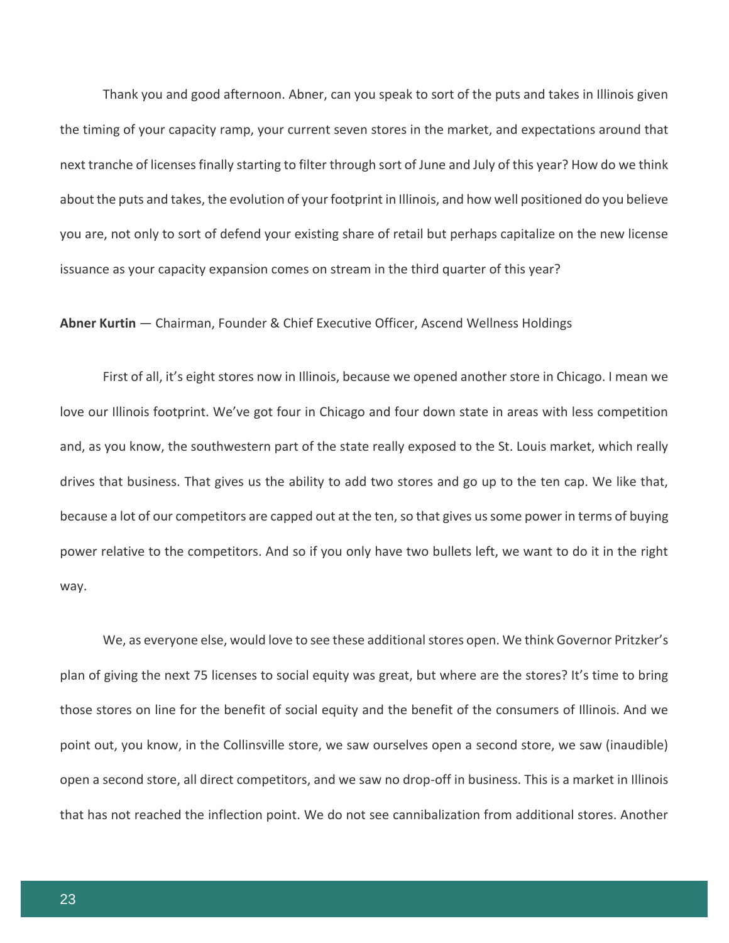Thank you and good afternoon. Abner, can you speak to sort of the puts and takes in Illinois given the timing of your capacity ramp, your current seven stores in the market, and expectations around that next tranche of licenses finally starting to filter through sort of June and July of this year? How do we think about the puts and takes, the evolution of your footprint in Illinois, and how well positioned do you believe you are, not only to sort of defend your existing share of retail but perhaps capitalize on the new license issuance as your capacity expansion comes on stream in the third quarter of this year?

## **Abner Kurtin** — Chairman, Founder & Chief Executive Officer, Ascend Wellness Holdings

First of all, it's eight stores now in Illinois, because we opened another store in Chicago. I mean we love our Illinois footprint. We've got four in Chicago and four down state in areas with less competition and, as you know, the southwestern part of the state really exposed to the St. Louis market, which really drives that business. That gives us the ability to add two stores and go up to the ten cap. We like that, because a lot of our competitors are capped out at the ten, so that gives us some power in terms of buying power relative to the competitors. And so if you only have two bullets left, we want to do it in the right way.

We, as everyone else, would love to see these additional stores open. We think Governor Pritzker's plan of giving the next 75 licenses to social equity was great, but where are the stores? It's time to bring those stores on line for the benefit of social equity and the benefit of the consumers of Illinois. And we point out, you know, in the Collinsville store, we saw ourselves open a second store, we saw (inaudible) open a second store, all direct competitors, and we saw no drop-off in business. This is a market in Illinois that has not reached the inflection point. We do not see cannibalization from additional stores. Another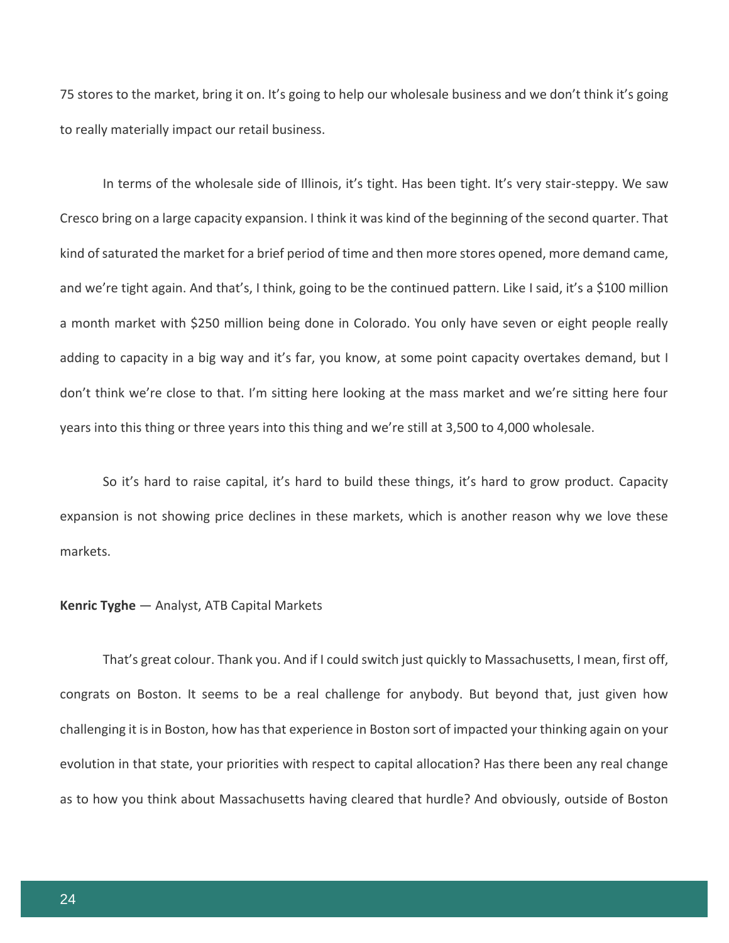75 stores to the market, bring it on. It's going to help our wholesale business and we don't think it's going to really materially impact our retail business.

In terms of the wholesale side of Illinois, it's tight. Has been tight. It's very stair-steppy. We saw Cresco bring on a large capacity expansion. I think it was kind of the beginning of the second quarter. That kind of saturated the market for a brief period of time and then more stores opened, more demand came, and we're tight again. And that's, I think, going to be the continued pattern. Like I said, it's a \$100 million a month market with \$250 million being done in Colorado. You only have seven or eight people really adding to capacity in a big way and it's far, you know, at some point capacity overtakes demand, but I don't think we're close to that. I'm sitting here looking at the mass market and we're sitting here four years into this thing or three years into this thing and we're still at 3,500 to 4,000 wholesale.

So it's hard to raise capital, it's hard to build these things, it's hard to grow product. Capacity expansion is not showing price declines in these markets, which is another reason why we love these markets.

#### **Kenric Tyghe** — Analyst, ATB Capital Markets

That's great colour. Thank you. And if I could switch just quickly to Massachusetts, I mean, first off, congrats on Boston. It seems to be a real challenge for anybody. But beyond that, just given how challenging it is in Boston, how has that experience in Boston sort of impacted your thinking again on your evolution in that state, your priorities with respect to capital allocation? Has there been any real change as to how you think about Massachusetts having cleared that hurdle? And obviously, outside of Boston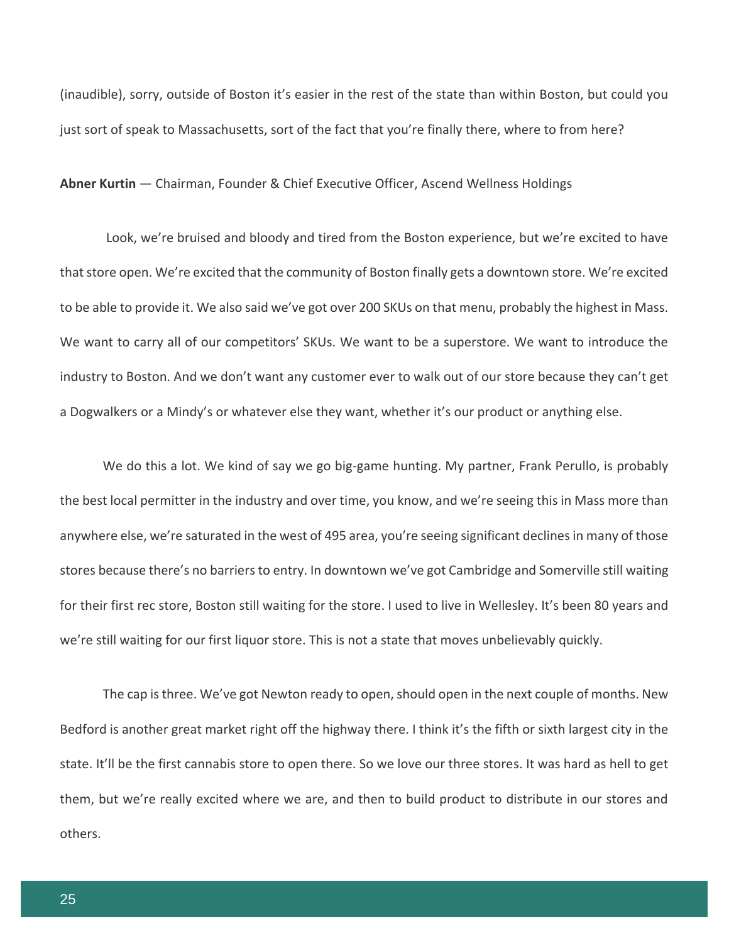(inaudible), sorry, outside of Boston it's easier in the rest of the state than within Boston, but could you just sort of speak to Massachusetts, sort of the fact that you're finally there, where to from here?

**Abner Kurtin** — Chairman, Founder & Chief Executive Officer, Ascend Wellness Holdings

Look, we're bruised and bloody and tired from the Boston experience, but we're excited to have that store open. We're excited that the community of Boston finally gets a downtown store. We're excited to be able to provide it. We also said we've got over 200 SKUs on that menu, probably the highest in Mass. We want to carry all of our competitors' SKUs. We want to be a superstore. We want to introduce the industry to Boston. And we don't want any customer ever to walk out of our store because they can't get a Dogwalkers or a Mindy's or whatever else they want, whether it's our product or anything else.

We do this a lot. We kind of say we go big-game hunting. My partner, Frank Perullo, is probably the best local permitter in the industry and over time, you know, and we're seeing this in Mass more than anywhere else, we're saturated in the west of 495 area, you're seeing significant declines in many of those stores because there's no barriers to entry. In downtown we've got Cambridge and Somerville still waiting for their first rec store, Boston still waiting for the store. I used to live in Wellesley. It's been 80 years and we're still waiting for our first liquor store. This is not a state that moves unbelievably quickly.

The cap is three. We've got Newton ready to open, should open in the next couple of months. New Bedford is another great market right off the highway there. I think it's the fifth or sixth largest city in the state. It'll be the first cannabis store to open there. So we love our three stores. It was hard as hell to get them, but we're really excited where we are, and then to build product to distribute in our stores and others.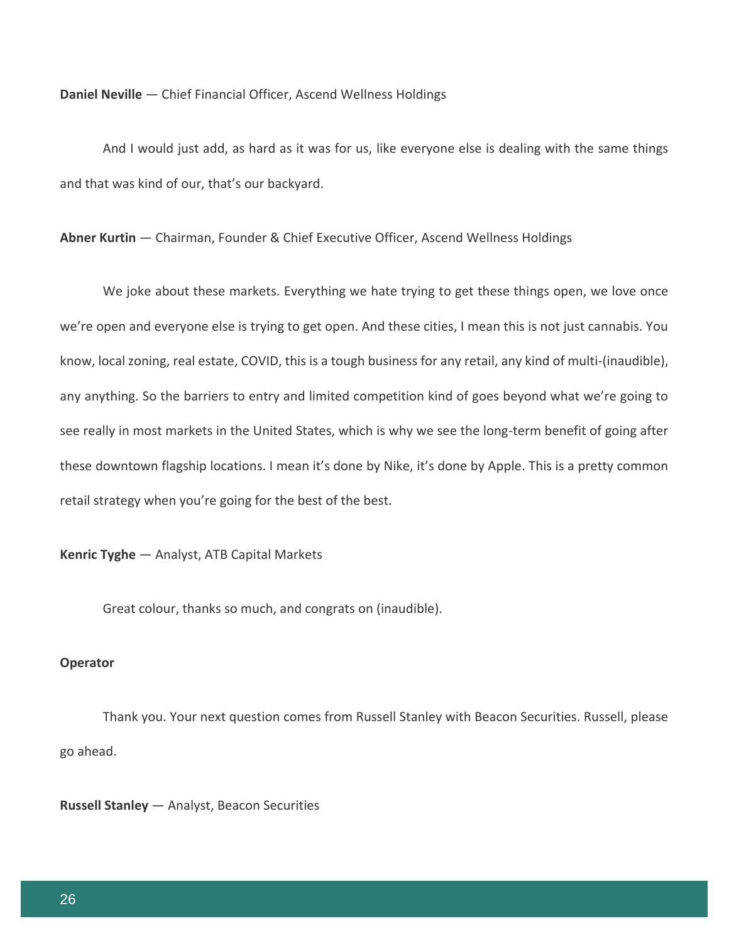**Daniel Neville** — Chief Financial Officer, Ascend Wellness Holdings

And I would just add, as hard as it was for us, like everyone else is dealing with the same things and that was kind of our, that's our backyard.

**Abner Kurtin** — Chairman, Founder & Chief Executive Officer, Ascend Wellness Holdings

We joke about these markets. Everything we hate trying to get these things open, we love once we're open and everyone else is trying to get open. And these cities, I mean this is not just cannabis. You know, local zoning, real estate, COVID, this is a tough business for any retail, any kind of multi-(inaudible), any anything. So the barriers to entry and limited competition kind of goes beyond what we're going to see really in most markets in the United States, which is why we see the long-term benefit of going after these downtown flagship locations. I mean it's done by Nike, it's done by Apple. This is a pretty common retail strategy when you're going for the best of the best.

**Kenric Tyghe** — Analyst, ATB Capital Markets

Great colour, thanks so much, and congrats on (inaudible).

#### **Operator**

Thank you. Your next question comes from Russell Stanley with Beacon Securities. Russell, please go ahead.

**Russell Stanley** — Analyst, Beacon Securities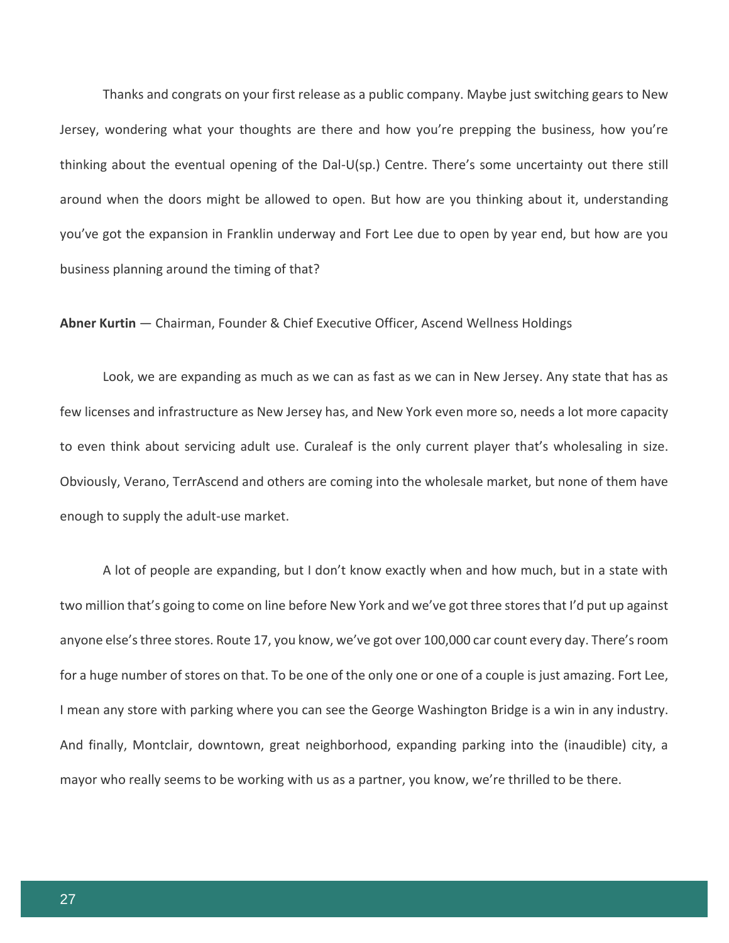Thanks and congrats on your first release as a public company. Maybe just switching gears to New Jersey, wondering what your thoughts are there and how you're prepping the business, how you're thinking about the eventual opening of the Dal-U(sp.) Centre. There's some uncertainty out there still around when the doors might be allowed to open. But how are you thinking about it, understanding you've got the expansion in Franklin underway and Fort Lee due to open by year end, but how are you business planning around the timing of that?

**Abner Kurtin** — Chairman, Founder & Chief Executive Officer, Ascend Wellness Holdings

Look, we are expanding as much as we can as fast as we can in New Jersey. Any state that has as few licenses and infrastructure as New Jersey has, and New York even more so, needs a lot more capacity to even think about servicing adult use. Curaleaf is the only current player that's wholesaling in size. Obviously, Verano, TerrAscend and others are coming into the wholesale market, but none of them have enough to supply the adult-use market.

A lot of people are expanding, but I don't know exactly when and how much, but in a state with two million that's going to come on line before New York and we've got three stores that I'd put up against anyone else's three stores. Route 17, you know, we've got over 100,000 car count every day. There's room for a huge number of stores on that. To be one of the only one or one of a couple is just amazing. Fort Lee, I mean any store with parking where you can see the George Washington Bridge is a win in any industry. And finally, Montclair, downtown, great neighborhood, expanding parking into the (inaudible) city, a mayor who really seems to be working with us as a partner, you know, we're thrilled to be there.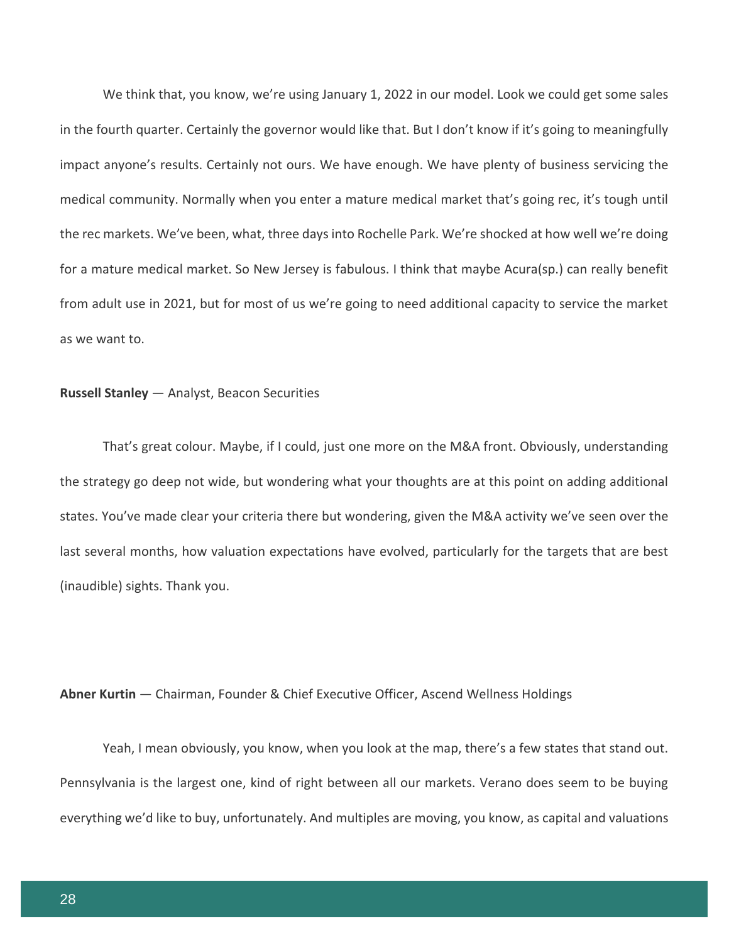We think that, you know, we're using January 1, 2022 in our model. Look we could get some sales in the fourth quarter. Certainly the governor would like that. But I don't know if it's going to meaningfully impact anyone's results. Certainly not ours. We have enough. We have plenty of business servicing the medical community. Normally when you enter a mature medical market that's going rec, it's tough until the rec markets. We've been, what, three days into Rochelle Park. We're shocked at how well we're doing for a mature medical market. So New Jersey is fabulous. I think that maybe Acura(sp.) can really benefit from adult use in 2021, but for most of us we're going to need additional capacity to service the market as we want to.

# **Russell Stanley** — Analyst, Beacon Securities

That's great colour. Maybe, if I could, just one more on the M&A front. Obviously, understanding the strategy go deep not wide, but wondering what your thoughts are at this point on adding additional states. You've made clear your criteria there but wondering, given the M&A activity we've seen over the last several months, how valuation expectations have evolved, particularly for the targets that are best (inaudible) sights. Thank you.

## **Abner Kurtin** — Chairman, Founder & Chief Executive Officer, Ascend Wellness Holdings

Yeah, I mean obviously, you know, when you look at the map, there's a few states that stand out. Pennsylvania is the largest one, kind of right between all our markets. Verano does seem to be buying everything we'd like to buy, unfortunately. And multiples are moving, you know, as capital and valuations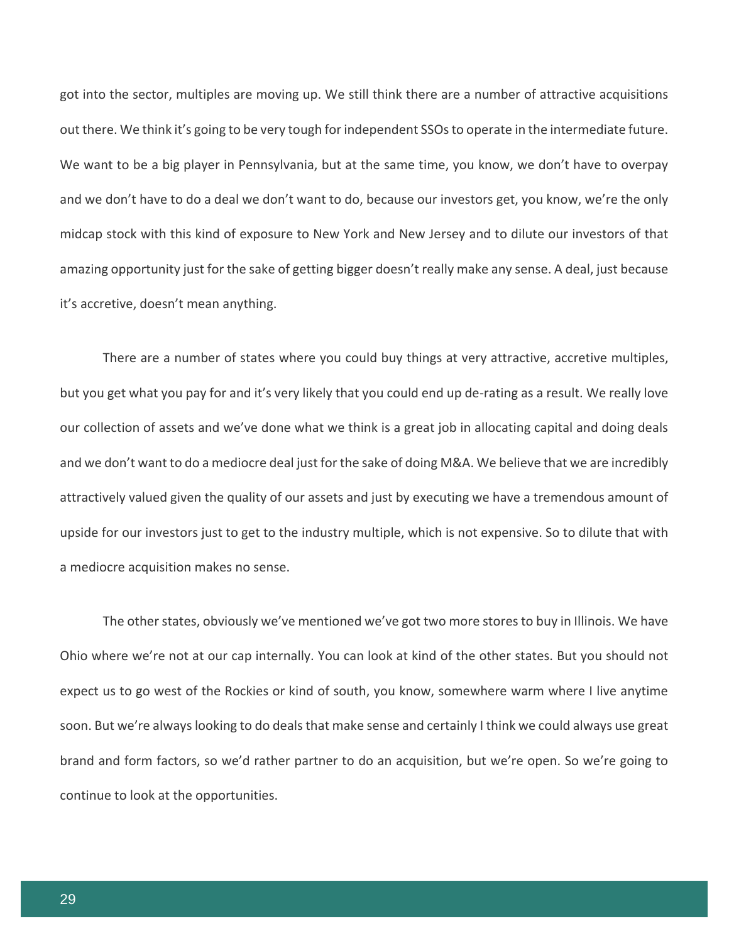got into the sector, multiples are moving up. We still think there are a number of attractive acquisitions out there. We think it's going to be very tough for independent SSOs to operate in the intermediate future. We want to be a big player in Pennsylvania, but at the same time, you know, we don't have to overpay and we don't have to do a deal we don't want to do, because our investors get, you know, we're the only midcap stock with this kind of exposure to New York and New Jersey and to dilute our investors of that amazing opportunity just for the sake of getting bigger doesn't really make any sense. A deal, just because it's accretive, doesn't mean anything.

There are a number of states where you could buy things at very attractive, accretive multiples, but you get what you pay for and it's very likely that you could end up de-rating as a result. We really love our collection of assets and we've done what we think is a great job in allocating capital and doing deals and we don't want to do a mediocre deal just for the sake of doing M&A. We believe that we are incredibly attractively valued given the quality of our assets and just by executing we have a tremendous amount of upside for our investors just to get to the industry multiple, which is not expensive. So to dilute that with a mediocre acquisition makes no sense.

The other states, obviously we've mentioned we've got two more stores to buy in Illinois. We have Ohio where we're not at our cap internally. You can look at kind of the other states. But you should not expect us to go west of the Rockies or kind of south, you know, somewhere warm where I live anytime soon. But we're always looking to do deals that make sense and certainly I think we could always use great brand and form factors, so we'd rather partner to do an acquisition, but we're open. So we're going to continue to look at the opportunities.

29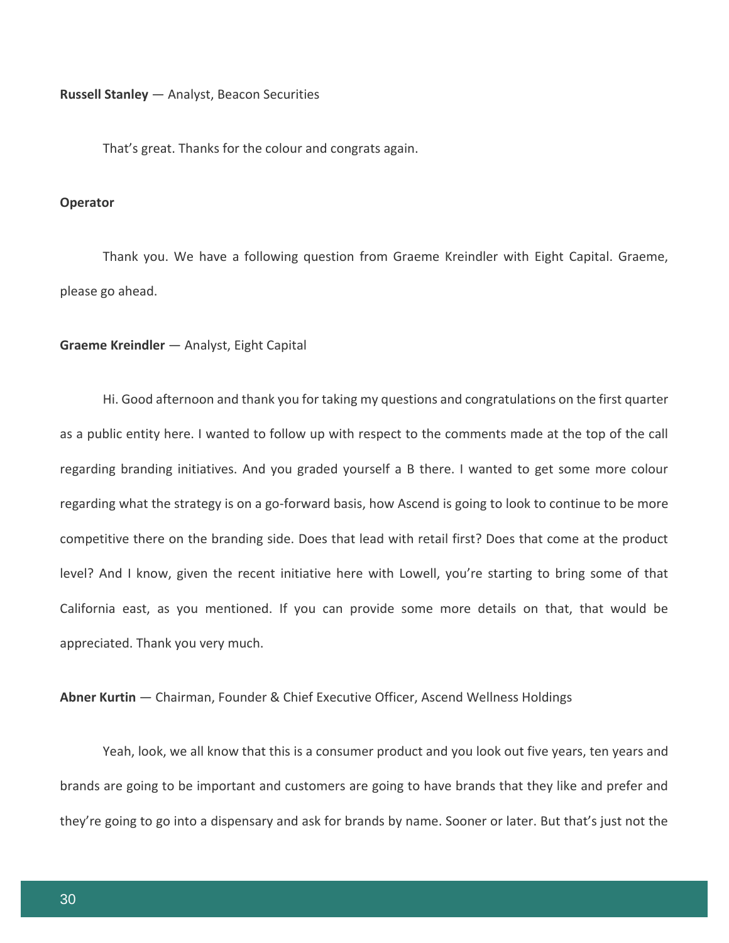**Russell Stanley** — Analyst, Beacon Securities

That's great. Thanks for the colour and congrats again.

# **Operator**

Thank you. We have a following question from Graeme Kreindler with Eight Capital. Graeme, please go ahead.

#### **Graeme Kreindler** — Analyst, Eight Capital

Hi. Good afternoon and thank you for taking my questions and congratulations on the first quarter as a public entity here. I wanted to follow up with respect to the comments made at the top of the call regarding branding initiatives. And you graded yourself a B there. I wanted to get some more colour regarding what the strategy is on a go-forward basis, how Ascend is going to look to continue to be more competitive there on the branding side. Does that lead with retail first? Does that come at the product level? And I know, given the recent initiative here with Lowell, you're starting to bring some of that California east, as you mentioned. If you can provide some more details on that, that would be appreciated. Thank you very much.

**Abner Kurtin** — Chairman, Founder & Chief Executive Officer, Ascend Wellness Holdings

Yeah, look, we all know that this is a consumer product and you look out five years, ten years and brands are going to be important and customers are going to have brands that they like and prefer and they're going to go into a dispensary and ask for brands by name. Sooner or later. But that's just not the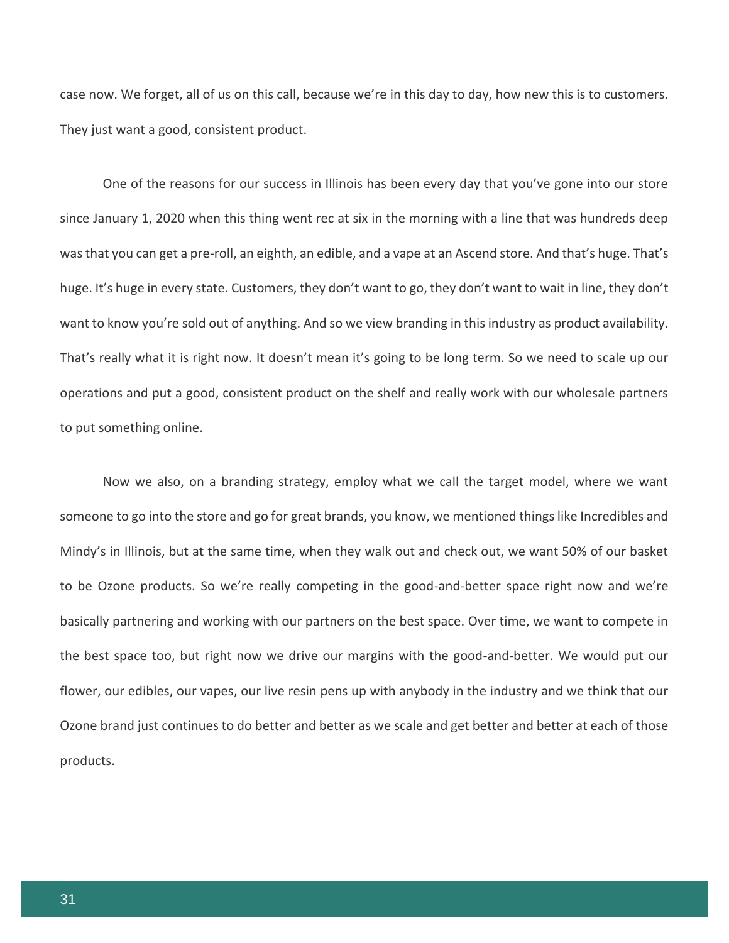case now. We forget, all of us on this call, because we're in this day to day, how new this is to customers. They just want a good, consistent product.

One of the reasons for our success in Illinois has been every day that you've gone into our store since January 1, 2020 when this thing went rec at six in the morning with a line that was hundreds deep was that you can get a pre-roll, an eighth, an edible, and a vape at an Ascend store. And that's huge. That's huge. It's huge in every state. Customers, they don't want to go, they don't want to wait in line, they don't want to know you're sold out of anything. And so we view branding in this industry as product availability. That's really what it is right now. It doesn't mean it's going to be long term. So we need to scale up our operations and put a good, consistent product on the shelf and really work with our wholesale partners to put something online.

Now we also, on a branding strategy, employ what we call the target model, where we want someone to go into the store and go for great brands, you know, we mentioned things like Incredibles and Mindy's in Illinois, but at the same time, when they walk out and check out, we want 50% of our basket to be Ozone products. So we're really competing in the good-and-better space right now and we're basically partnering and working with our partners on the best space. Over time, we want to compete in the best space too, but right now we drive our margins with the good-and-better. We would put our flower, our edibles, our vapes, our live resin pens up with anybody in the industry and we think that our Ozone brand just continues to do better and better as we scale and get better and better at each of those products.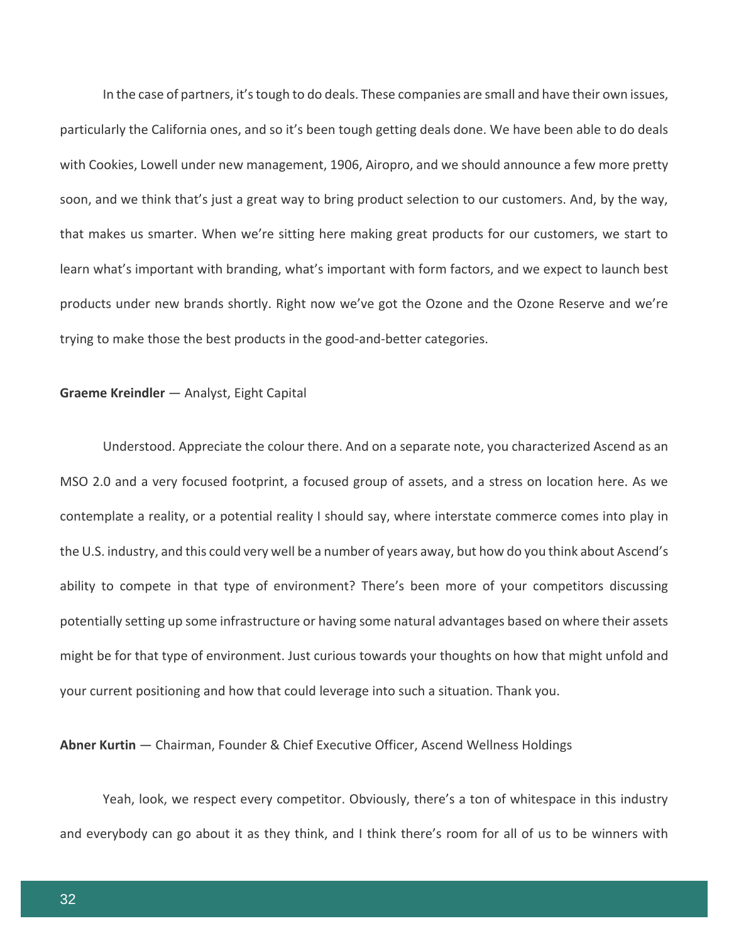In the case of partners, it's tough to do deals. These companies are small and have their own issues, particularly the California ones, and so it's been tough getting deals done. We have been able to do deals with Cookies, Lowell under new management, 1906, Airopro, and we should announce a few more pretty soon, and we think that's just a great way to bring product selection to our customers. And, by the way, that makes us smarter. When we're sitting here making great products for our customers, we start to learn what's important with branding, what's important with form factors, and we expect to launch best products under new brands shortly. Right now we've got the Ozone and the Ozone Reserve and we're trying to make those the best products in the good-and-better categories.

# **Graeme Kreindler** — Analyst, Eight Capital

Understood. Appreciate the colour there. And on a separate note, you characterized Ascend as an MSO 2.0 and a very focused footprint, a focused group of assets, and a stress on location here. As we contemplate a reality, or a potential reality I should say, where interstate commerce comes into play in the U.S. industry, and this could very well be a number of years away, but how do you think about Ascend's ability to compete in that type of environment? There's been more of your competitors discussing potentially setting up some infrastructure or having some natural advantages based on where their assets might be for that type of environment. Just curious towards your thoughts on how that might unfold and your current positioning and how that could leverage into such a situation. Thank you.

**Abner Kurtin** — Chairman, Founder & Chief Executive Officer, Ascend Wellness Holdings

Yeah, look, we respect every competitor. Obviously, there's a ton of whitespace in this industry and everybody can go about it as they think, and I think there's room for all of us to be winners with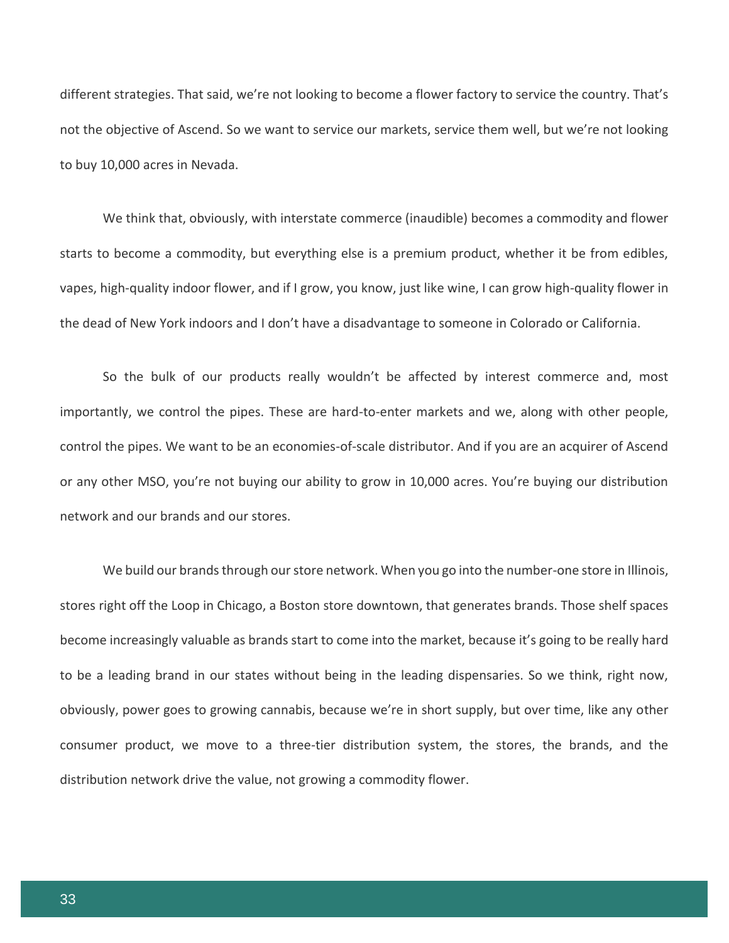different strategies. That said, we're not looking to become a flower factory to service the country. That's not the objective of Ascend. So we want to service our markets, service them well, but we're not looking to buy 10,000 acres in Nevada.

We think that, obviously, with interstate commerce (inaudible) becomes a commodity and flower starts to become a commodity, but everything else is a premium product, whether it be from edibles, vapes, high-quality indoor flower, and if I grow, you know, just like wine, I can grow high-quality flower in the dead of New York indoors and I don't have a disadvantage to someone in Colorado or California.

So the bulk of our products really wouldn't be affected by interest commerce and, most importantly, we control the pipes. These are hard-to-enter markets and we, along with other people, control the pipes. We want to be an economies-of-scale distributor. And if you are an acquirer of Ascend or any other MSO, you're not buying our ability to grow in 10,000 acres. You're buying our distribution network and our brands and our stores.

We build our brands through our store network. When you go into the number-one store in Illinois, stores right off the Loop in Chicago, a Boston store downtown, that generates brands. Those shelf spaces become increasingly valuable as brands start to come into the market, because it's going to be really hard to be a leading brand in our states without being in the leading dispensaries. So we think, right now, obviously, power goes to growing cannabis, because we're in short supply, but over time, like any other consumer product, we move to a three-tier distribution system, the stores, the brands, and the distribution network drive the value, not growing a commodity flower.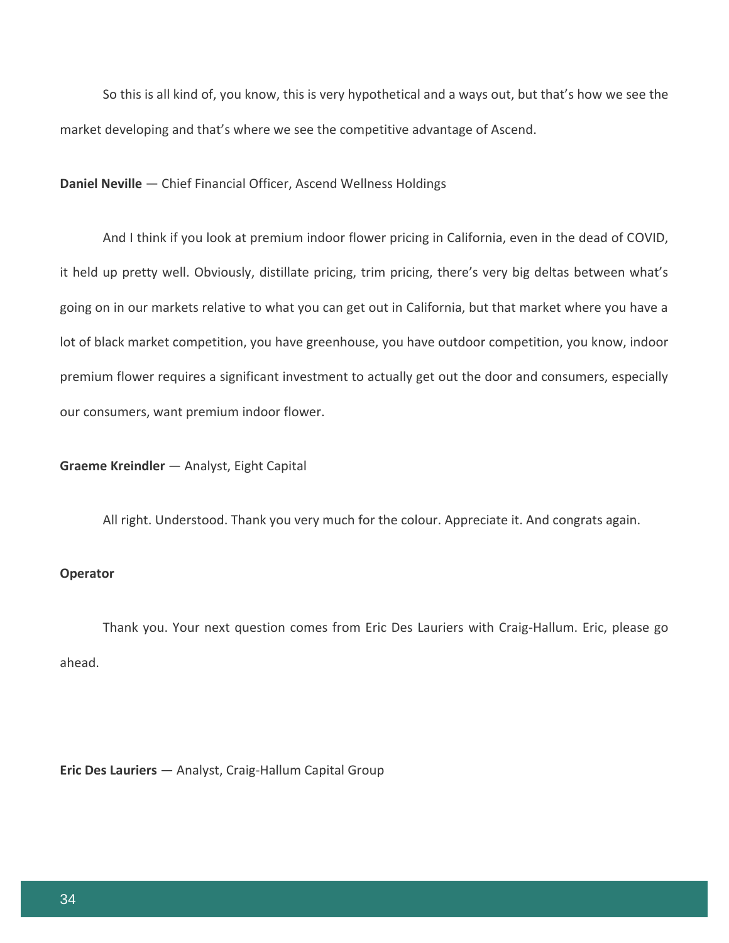So this is all kind of, you know, this is very hypothetical and a ways out, but that's how we see the market developing and that's where we see the competitive advantage of Ascend.

**Daniel Neville** — Chief Financial Officer, Ascend Wellness Holdings

And I think if you look at premium indoor flower pricing in California, even in the dead of COVID, it held up pretty well. Obviously, distillate pricing, trim pricing, there's very big deltas between what's going on in our markets relative to what you can get out in California, but that market where you have a lot of black market competition, you have greenhouse, you have outdoor competition, you know, indoor premium flower requires a significant investment to actually get out the door and consumers, especially our consumers, want premium indoor flower.

**Graeme Kreindler** — Analyst, Eight Capital

All right. Understood. Thank you very much for the colour. Appreciate it. And congrats again.

#### **Operator**

Thank you. Your next question comes from Eric Des Lauriers with Craig-Hallum. Eric, please go ahead.

**Eric Des Lauriers** — Analyst, Craig-Hallum Capital Group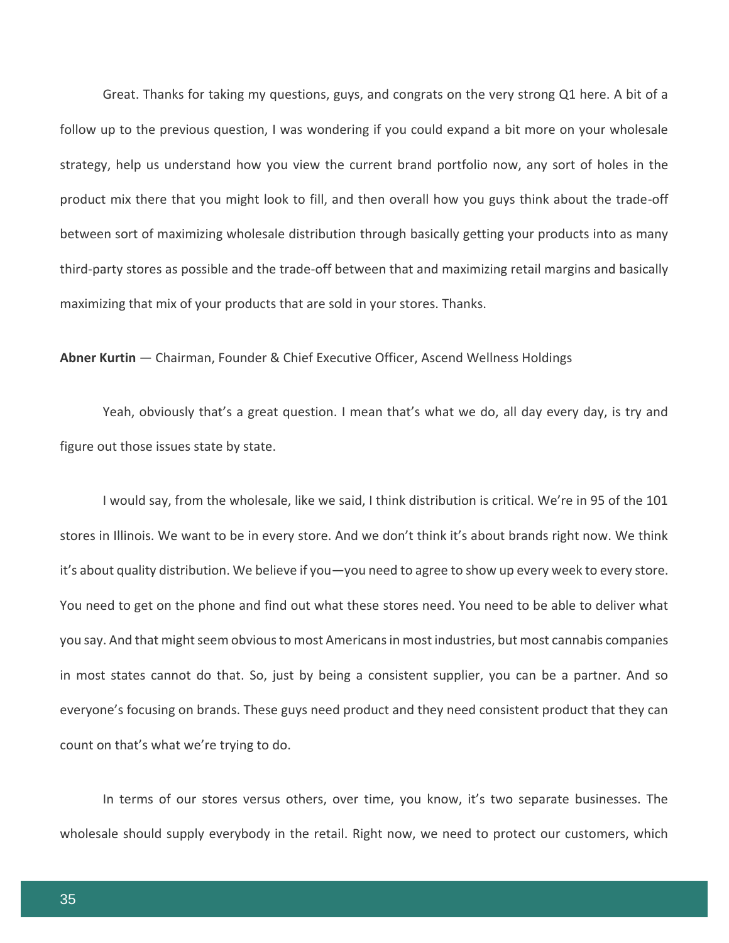Great. Thanks for taking my questions, guys, and congrats on the very strong Q1 here. A bit of a follow up to the previous question, I was wondering if you could expand a bit more on your wholesale strategy, help us understand how you view the current brand portfolio now, any sort of holes in the product mix there that you might look to fill, and then overall how you guys think about the trade-off between sort of maximizing wholesale distribution through basically getting your products into as many third-party stores as possible and the trade-off between that and maximizing retail margins and basically maximizing that mix of your products that are sold in your stores. Thanks.

**Abner Kurtin** — Chairman, Founder & Chief Executive Officer, Ascend Wellness Holdings

Yeah, obviously that's a great question. I mean that's what we do, all day every day, is try and figure out those issues state by state.

I would say, from the wholesale, like we said, I think distribution is critical. We're in 95 of the 101 stores in Illinois. We want to be in every store. And we don't think it's about brands right now. We think it's about quality distribution. We believe if you—you need to agree to show up every week to every store. You need to get on the phone and find out what these stores need. You need to be able to deliver what you say. And that might seem obvious to most Americans in most industries, but most cannabis companies in most states cannot do that. So, just by being a consistent supplier, you can be a partner. And so everyone's focusing on brands. These guys need product and they need consistent product that they can count on that's what we're trying to do.

In terms of our stores versus others, over time, you know, it's two separate businesses. The wholesale should supply everybody in the retail. Right now, we need to protect our customers, which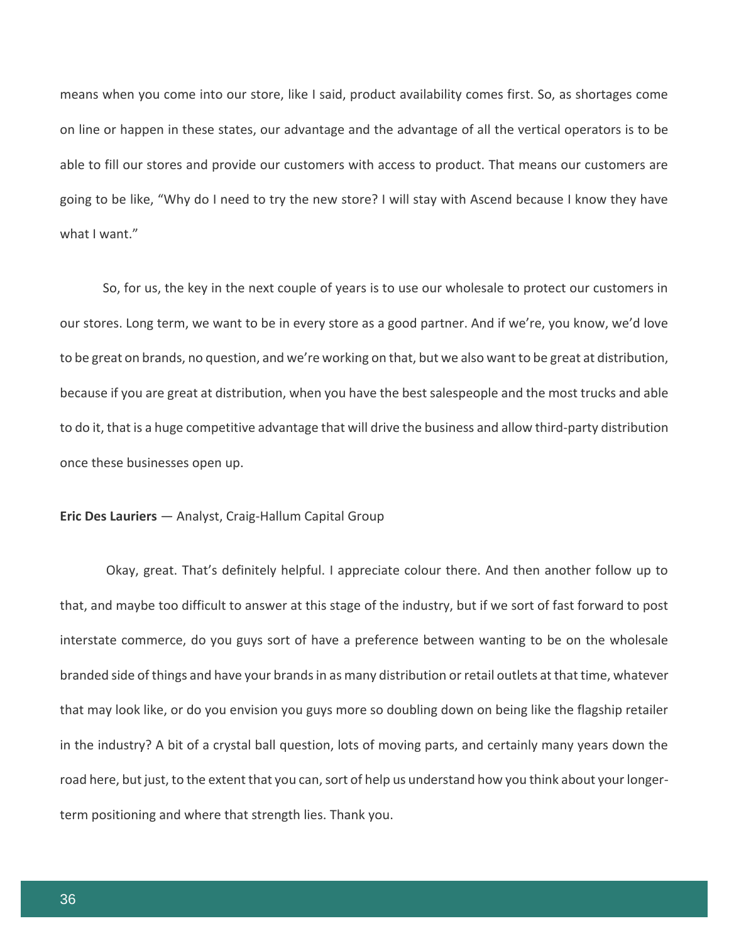means when you come into our store, like I said, product availability comes first. So, as shortages come on line or happen in these states, our advantage and the advantage of all the vertical operators is to be able to fill our stores and provide our customers with access to product. That means our customers are going to be like, "Why do I need to try the new store? I will stay with Ascend because I know they have what I want."

So, for us, the key in the next couple of years is to use our wholesale to protect our customers in our stores. Long term, we want to be in every store as a good partner. And if we're, you know, we'd love to be great on brands, no question, and we're working on that, but we also want to be great at distribution, because if you are great at distribution, when you have the best salespeople and the most trucks and able to do it, that is a huge competitive advantage that will drive the business and allow third-party distribution once these businesses open up.

# **Eric Des Lauriers** — Analyst, Craig-Hallum Capital Group

Okay, great. That's definitely helpful. I appreciate colour there. And then another follow up to that, and maybe too difficult to answer at this stage of the industry, but if we sort of fast forward to post interstate commerce, do you guys sort of have a preference between wanting to be on the wholesale branded side of things and have your brands in as many distribution or retail outlets at that time, whatever that may look like, or do you envision you guys more so doubling down on being like the flagship retailer in the industry? A bit of a crystal ball question, lots of moving parts, and certainly many years down the road here, but just, to the extent that you can, sort of help us understand how you think about your longerterm positioning and where that strength lies. Thank you.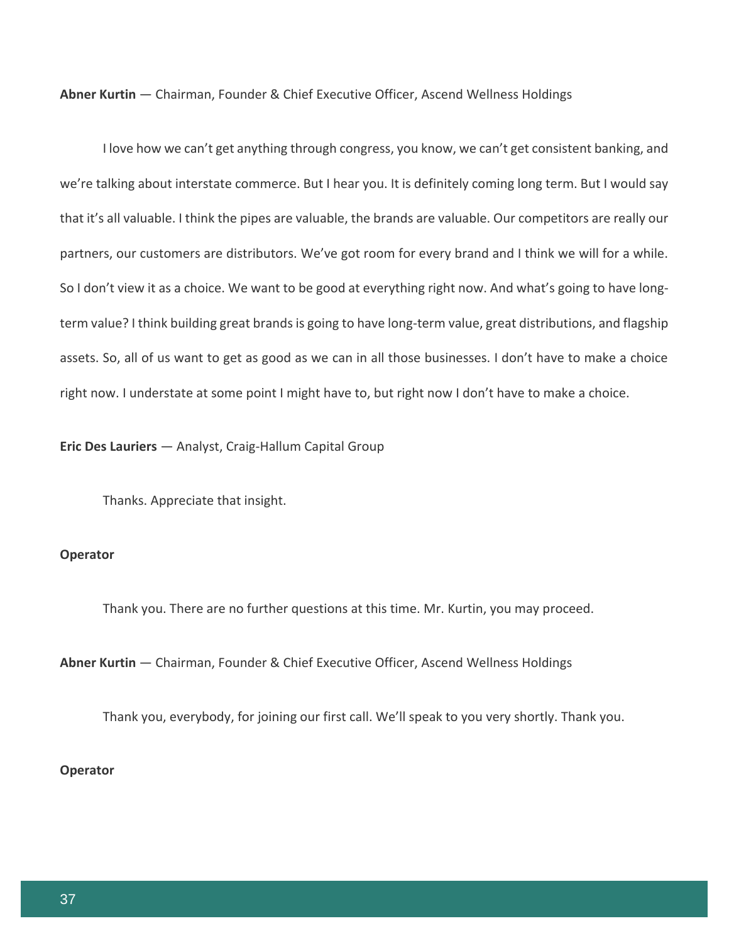**Abner Kurtin** — Chairman, Founder & Chief Executive Officer, Ascend Wellness Holdings

I love how we can't get anything through congress, you know, we can't get consistent banking, and we're talking about interstate commerce. But I hear you. It is definitely coming long term. But I would say that it's all valuable. I think the pipes are valuable, the brands are valuable. Our competitors are really our partners, our customers are distributors. We've got room for every brand and I think we will for a while. So I don't view it as a choice. We want to be good at everything right now. And what's going to have longterm value? I think building great brands is going to have long-term value, great distributions, and flagship assets. So, all of us want to get as good as we can in all those businesses. I don't have to make a choice right now. I understate at some point I might have to, but right now I don't have to make a choice.

**Eric Des Lauriers** — Analyst, Craig-Hallum Capital Group

Thanks. Appreciate that insight.

#### **Operator**

Thank you. There are no further questions at this time. Mr. Kurtin, you may proceed.

**Abner Kurtin** — Chairman, Founder & Chief Executive Officer, Ascend Wellness Holdings

Thank you, everybody, for joining our first call. We'll speak to you very shortly. Thank you.

#### **Operator**